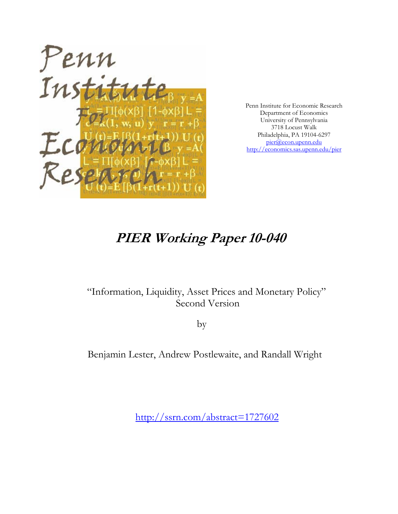

Penn Institute for Economic Research Department of Economics University of Pennsylvania 3718 Locust Walk Philadelphia, PA 19104-6297 pier@econ.upenn.edu http://economics.sas.upenn.edu/pier

# **PIER Working Paper 10-040**

# "Information, Liquidity, Asset Prices and Monetary Policy" Second Version

by

Benjamin Lester, Andrew Postlewaite, and Randall Wright

http://ssrn.com/abstract=1727602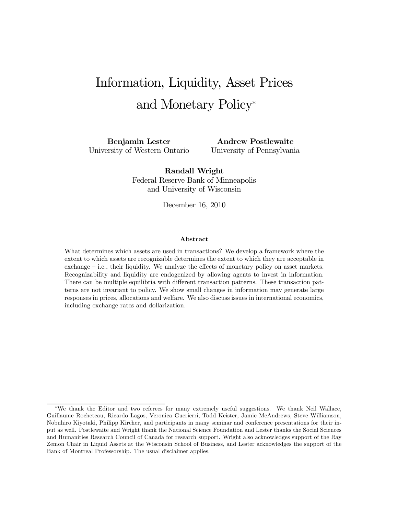# Information, Liquidity, Asset Prices and Monetary Policy<sup>∗</sup>

Benjamin Lester University of Western Ontario

Andrew Postlewaite University of Pennsylvania

Randall Wright Federal Reserve Bank of Minneapolis and University of Wisconsin

December 16, 2010

#### Abstract

What determines which assets are used in transactions? We develop a framework where the extent to which assets are recognizable determines the extent to which they are acceptable in exchange — i.e., their liquidity. We analyze the effects of monetary policy on asset markets. Recognizability and liquidity are endogenized by allowing agents to invest in information. There can be multiple equilibria with different transaction patterns. These transaction patterns are not invariant to policy. We show small changes in information may generate large responses in prices, allocations and welfare. We also discuss issues in international economics, including exchange rates and dollarization.

<sup>∗</sup>We thank the Editor and two referees for many extremely useful suggestions. We thank Neil Wallace, Guillaume Rocheteau, Ricardo Lagos, Veronica Guerierri, Todd Keister, Jamie McAndrews, Steve Williamson, Nobuhiro Kiyotaki, Philipp Kircher, and participants in many seminar and conference presentations for their input as well. Postlewaite and Wright thank the National Science Foundation and Lester thanks the Social Sciences and Humanities Research Council of Canada for research support. Wright also acknowledges support of the Ray Zemon Chair in Liquid Assets at the Wisconsin School of Business, and Lester acknowledges the support of the Bank of Montreal Professorship. The usual disclaimer applies.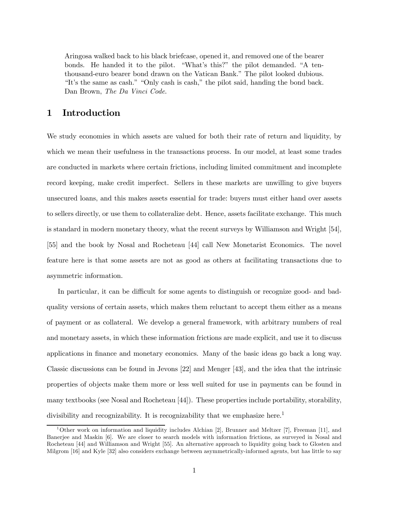Aringosa walked back to his black briefcase, opened it, and removed one of the bearer bonds. He handed it to the pilot. "What's this?" the pilot demanded. "A tenthousand-euro bearer bond drawn on the Vatican Bank." The pilot looked dubious. "It's the same as cash." "Only cash is cash," the pilot said, handing the bond back. Dan Brown, The Da Vinci Code.

### 1 Introduction

We study economies in which assets are valued for both their rate of return and liquidity, by which we mean their usefulness in the transactions process. In our model, at least some trades are conducted in markets where certain frictions, including limited commitment and incomplete record keeping, make credit imperfect. Sellers in these markets are unwilling to give buyers unsecured loans, and this makes assets essential for trade: buyers must either hand over assets to sellers directly, or use them to collateralize debt. Hence, assets facilitate exchange. This much is standard in modern monetary theory, what the recent surveys by Williamson and Wright [54], [55] and the book by Nosal and Rocheteau [44] call New Monetarist Economics. The novel feature here is that some assets are not as good as others at facilitating transactions due to asymmetric information.

In particular, it can be difficult for some agents to distinguish or recognize good- and badquality versions of certain assets, which makes them reluctant to accept them either as a means of payment or as collateral. We develop a general framework, with arbitrary numbers of real and monetary assets, in which these information frictions are made explicit, and use it to discuss applications in finance and monetary economics. Many of the basic ideas go back a long way. Classic discussions can be found in Jevons [22] and Menger [43], and the idea that the intrinsic properties of objects make them more or less well suited for use in payments can be found in many textbooks (see Nosal and Rocheteau [44]). These properties include portability, storability, divisibility and recognizability. It is recognizability that we emphasize here.<sup>1</sup>

<sup>1</sup>Other work on information and liquidity includes Alchian [2], Brunner and Meltzer [7], Freeman [11], and Banerjee and Maskin [6]. We are closer to search models with information frictions, as surveyed in Nosal and Rocheteau [44] and Williamson and Wright [55]. An alternative approach to liquidity going back to Glosten and Milgrom [16] and Kyle [32] also considers exchange between asymmetrically-informed agents, but has little to say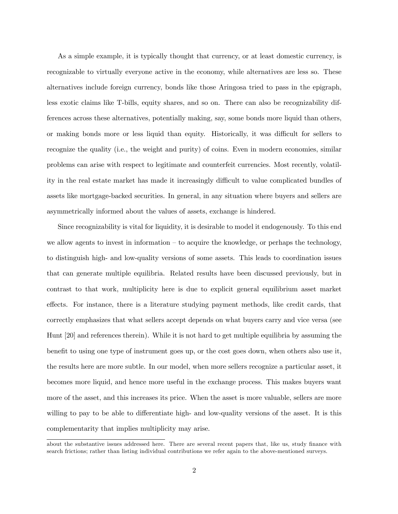As a simple example, it is typically thought that currency, or at least domestic currency, is recognizable to virtually everyone active in the economy, while alternatives are less so. These alternatives include foreign currency, bonds like those Aringosa tried to pass in the epigraph, less exotic claims like T-bills, equity shares, and so on. There can also be recognizability differences across these alternatives, potentially making, say, some bonds more liquid than others, or making bonds more or less liquid than equity. Historically, it was difficult for sellers to recognize the quality (i.e., the weight and purity) of coins. Even in modern economies, similar problems can arise with respect to legitimate and counterfeit currencies. Most recently, volatility in the real estate market has made it increasingly difficult to value complicated bundles of assets like mortgage-backed securities. In general, in any situation where buyers and sellers are asymmetrically informed about the values of assets, exchange is hindered.

Since recognizability is vital for liquidity, it is desirable to model it endogenously. To this end we allow agents to invest in information — to acquire the knowledge, or perhaps the technology, to distinguish high- and low-quality versions of some assets. This leads to coordination issues that can generate multiple equilibria. Related results have been discussed previously, but in contrast to that work, multiplicity here is due to explicit general equilibrium asset market effects. For instance, there is a literature studying payment methods, like credit cards, that correctly emphasizes that what sellers accept depends on what buyers carry and vice versa (see Hunt [20] and references therein). While it is not hard to get multiple equilibria by assuming the benefit to using one type of instrument goes up, or the cost goes down, when others also use it, the results here are more subtle. In our model, when more sellers recognize a particular asset, it becomes more liquid, and hence more useful in the exchange process. This makes buyers want more of the asset, and this increases its price. When the asset is more valuable, sellers are more willing to pay to be able to differentiate high- and low-quality versions of the asset. It is this complementarity that implies multiplicity may arise.

about the substantive issues addressed here. There are several recent papers that, like us, study finance with search frictions; rather than listing individual contributions we refer again to the above-mentioned surveys.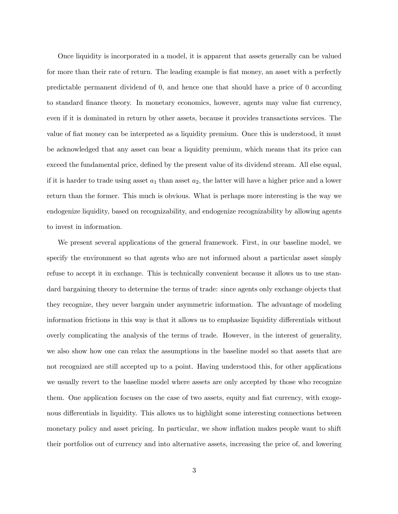Once liquidity is incorporated in a model, it is apparent that assets generally can be valued for more than their rate of return. The leading example is fiat money, an asset with a perfectly predictable permanent dividend of 0, and hence one that should have a price of 0 according to standard finance theory. In monetary economics, however, agents may value fiat currency, even if it is dominated in return by other assets, because it provides transactions services. The value of fiat money can be interpreted as a liquidity premium. Once this is understood, it must be acknowledged that any asset can bear a liquidity premium, which means that its price can exceed the fundamental price, defined by the present value of its dividend stream. All else equal, if it is harder to trade using asset  $a_1$  than asset  $a_2$ , the latter will have a higher price and a lower return than the former. This much is obvious. What is perhaps more interesting is the way we endogenize liquidity, based on recognizability, and endogenize recognizability by allowing agents to invest in information.

We present several applications of the general framework. First, in our baseline model, we specify the environment so that agents who are not informed about a particular asset simply refuse to accept it in exchange. This is technically convenient because it allows us to use standard bargaining theory to determine the terms of trade: since agents only exchange objects that they recognize, they never bargain under asymmetric information. The advantage of modeling information frictions in this way is that it allows us to emphasize liquidity differentials without overly complicating the analysis of the terms of trade. However, in the interest of generality, we also show how one can relax the assumptions in the baseline model so that assets that are not recognized are still accepted up to a point. Having understood this, for other applications we usually revert to the baseline model where assets are only accepted by those who recognize them. One application focuses on the case of two assets, equity and fiat currency, with exogenous differentials in liquidity. This allows us to highlight some interesting connections between monetary policy and asset pricing. In particular, we show inflation makes people want to shift their portfolios out of currency and into alternative assets, increasing the price of, and lowering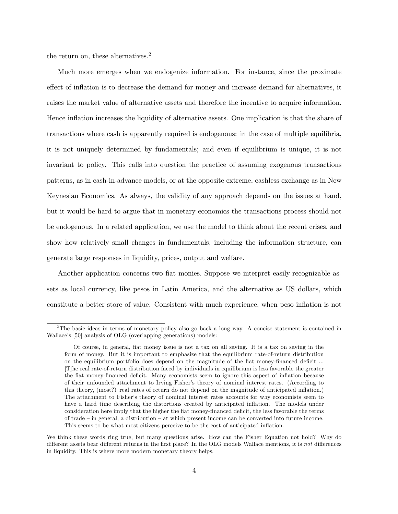the return on, these alternatives.<sup>2</sup>

Much more emerges when we endogenize information. For instance, since the proximate effect of inflation is to decrease the demand for money and increase demand for alternatives, it raises the market value of alternative assets and therefore the incentive to acquire information. Hence inflation increases the liquidity of alternative assets. One implication is that the share of transactions where cash is apparently required is endogenous: in the case of multiple equilibria, it is not uniquely determined by fundamentals; and even if equilibrium is unique, it is not invariant to policy. This calls into question the practice of assuming exogenous transactions patterns, as in cash-in-advance models, or at the opposite extreme, cashless exchange as in New Keynesian Economics. As always, the validity of any approach depends on the issues at hand, but it would be hard to argue that in monetary economics the transactions process should not be endogenous. In a related application, we use the model to think about the recent crises, and show how relatively small changes in fundamentals, including the information structure, can generate large responses in liquidity, prices, output and welfare.

Another application concerns two fiat monies. Suppose we interpret easily-recognizable assets as local currency, like pesos in Latin America, and the alternative as US dollars, which constitute a better store of value. Consistent with much experience, when peso inflation is not

<sup>&</sup>lt;sup>2</sup>The basic ideas in terms of monetary policy also go back a long way. A concise statement is contained in Wallace's [50] analysis of OLG (overlapping generations) models:

Of course, in general, fiat money issue is not a tax on all saving. It is a tax on saving in the form of money. But it is important to emphasize that the equilibrium rate-of-return distribution on the equilibrium portfolio does depend on the magnitude of the fiat money-financed deficit ... [T]he real rate-of-return distribution faced by individuals in equilibrium is less favorable the greater the fiat money-financed deficit. Many economists seem to ignore this aspect of inflation because of their unfounded attachment to Irving Fisher's theory of nominal interest rates. (According to this theory, (most?) real rates of return do not depend on the magnitude of anticipated inflation.) The attachment to Fisher's theory of nominal interest rates accounts for why economists seem to have a hard time describing the distortions created by anticipated inflation. The models under consideration here imply that the higher the fiat money-financed deficit, the less favorable the terms of trade — in general, a distribution — at which present income can be converted into future income. This seems to be what most citizens perceive to be the cost of anticipated inflation.

We think these words ring true, but many questions arise. How can the Fisher Equation not hold? Why do different assets bear different returns in the first place? In the OLG models Wallace mentions, it is not differences in liquidity. This is where more modern monetary theory helps.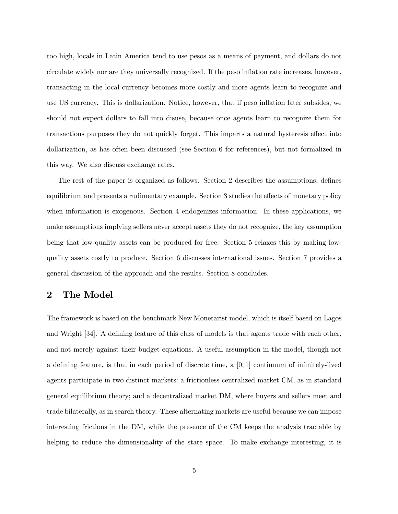too high, locals in Latin America tend to use pesos as a means of payment, and dollars do not circulate widely nor are they universally recognized. If the peso inflation rate increases, however, transacting in the local currency becomes more costly and more agents learn to recognize and use US currency. This is dollarization. Notice, however, that if peso inflation later subsides, we should not expect dollars to fall into disuse, because once agents learn to recognize them for transactions purposes they do not quickly forget. This imparts a natural hysteresis effect into dollarization, as has often been discussed (see Section 6 for references), but not formalized in this way. We also discuss exchange rates.

The rest of the paper is organized as follows. Section 2 describes the assumptions, defines equilibrium and presents a rudimentary example. Section 3 studies the effects of monetary policy when information is exogenous. Section 4 endogenizes information. In these applications, we make assumptions implying sellers never accept assets they do not recognize, the key assumption being that low-quality assets can be produced for free. Section 5 relaxes this by making lowquality assets costly to produce. Section 6 discusses international issues. Section 7 provides a general discussion of the approach and the results. Section 8 concludes.

### 2 The Model

The framework is based on the benchmark New Monetarist model, which is itself based on Lagos and Wright [34]. A defining feature of this class of models is that agents trade with each other, and not merely against their budget equations. A useful assumption in the model, though not a defining feature, is that in each period of discrete time, a  $[0, 1]$  continuum of infinitely-lived agents participate in two distinct markets: a frictionless centralized market CM, as in standard general equilibrium theory; and a decentralized market DM, where buyers and sellers meet and trade bilaterally, as in search theory. These alternating markets are useful because we can impose interesting frictions in the DM, while the presence of the CM keeps the analysis tractable by helping to reduce the dimensionality of the state space. To make exchange interesting, it is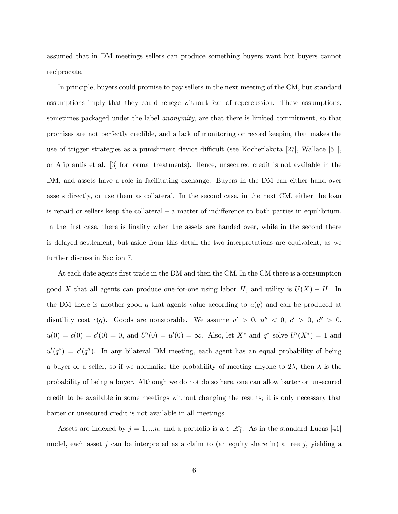assumed that in DM meetings sellers can produce something buyers want but buyers cannot reciprocate.

In principle, buyers could promise to pay sellers in the next meeting of the CM, but standard assumptions imply that they could renege without fear of repercussion. These assumptions, sometimes packaged under the label *anonymity*, are that there is limited commitment, so that promises are not perfectly credible, and a lack of monitoring or record keeping that makes the use of trigger strategies as a punishment device difficult (see Kocherlakota [27], Wallace [51], or Aliprantis et al. [3] for formal treatments). Hence, unsecured credit is not available in the DM, and assets have a role in facilitating exchange. Buyers in the DM can either hand over assets directly, or use them as collateral. In the second case, in the next CM, either the loan is repaid or sellers keep the collateral  $-$  a matter of indifference to both parties in equilibrium. In the first case, there is finality when the assets are handed over, while in the second there is delayed settlement, but aside from this detail the two interpretations are equivalent, as we further discuss in Section 7.

At each date agents first trade in the DM and then the CM. In the CM there is a consumption good X that all agents can produce one-for-one using labor H, and utility is  $U(X) - H$ . In the DM there is another good q that agents value according to  $u(q)$  and can be produced at disutility cost  $c(q)$ . Goods are nonstorable. We assume  $u' > 0$ ,  $u'' < 0$ ,  $c' > 0$ ,  $c'' > 0$ ,  $u(0) = c(0) = c'(0) = 0$ , and  $U'(0) = u'(0) = \infty$ . Also, let  $X^*$  and  $q^*$  solve  $U'(X^*) = 1$  and  $u'(q^*) = c'(q^*)$ . In any bilateral DM meeting, each agent has an equal probability of being a buyer or a seller, so if we normalize the probability of meeting anyone to  $2\lambda$ , then  $\lambda$  is the probability of being a buyer. Although we do not do so here, one can allow barter or unsecured credit to be available in some meetings without changing the results; it is only necessary that barter or unsecured credit is not available in all meetings.

Assets are indexed by  $j = 1,...n$ , and a portfolio is  $\mathbf{a} \in \mathbb{R}^n_+$ . As in the standard Lucas [41] model, each asset  $j$  can be interpreted as a claim to (an equity share in) a tree  $j$ , yielding a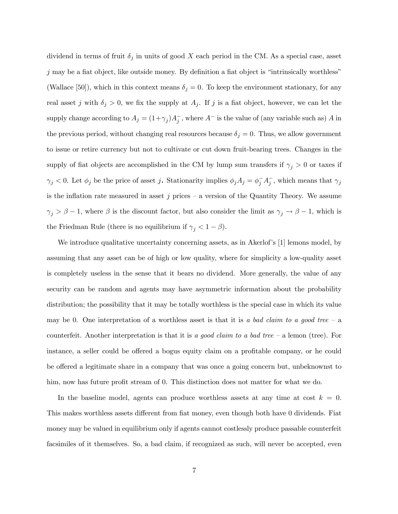dividend in terms of fruit  $\delta_j$  in units of good X each period in the CM. As a special case, asset  $j$  may be a fiat object, like outside money. By definition a fiat object is "intrinsically worthless" (Wallace [50]), which in this context means  $\delta_j = 0$ . To keep the environment stationary, for any real asset *j* with  $\delta_j > 0$ , we fix the supply at  $A_j$ . If *j* is a fiat object, however, we can let the supply change according to  $A_j = (1+\gamma_j)A_j^-$ , where  $A^-$  is the value of (any variable such as) A in the previous period, without changing real resources because  $\delta_j = 0$ . Thus, we allow government to issue or retire currency but not to cultivate or cut down fruit-bearing trees. Changes in the supply of fiat objects are accomplished in the CM by lump sum transfers if  $\gamma_j > 0$  or taxes if  $\gamma_j < 0$ . Let  $\phi_j$  be the price of asset j. Stationarity implies  $\phi_j A_j = \phi_j^- A_j^-$ , which means that  $\gamma_j$ is the inflation rate measured in asset  $j$  prices – a version of the Quantity Theory. We assume  $\gamma_j > \beta - 1$ , where  $\beta$  is the discount factor, but also consider the limit as  $\gamma_j \to \beta - 1$ , which is the Friedman Rule (there is no equilibrium if  $\gamma_j < 1 - \beta$ ).

We introduce qualitative uncertainty concerning assets, as in Akerlof's [1] lemons model, by assuming that any asset can be of high or low quality, where for simplicity a low-quality asset is completely useless in the sense that it bears no dividend. More generally, the value of any security can be random and agents may have asymmetric information about the probability distribution; the possibility that it may be totally worthless is the special case in which its value may be 0. One interpretation of a worthless asset is that it is a bad claim to a good tree – a counterfeit. Another interpretation is that it is a good claim to a bad tree – a lemon (tree). For instance, a seller could be offered a bogus equity claim on a profitable company, or he could be offered a legitimate share in a company that was once a going concern but, unbeknownst to him, now has future profit stream of 0. This distinction does not matter for what we do.

In the baseline model, agents can produce worthless assets at any time at cost  $k = 0$ . This makes worthless assets different from fiat money, even though both have 0 dividends. Fiat money may be valued in equilibrium only if agents cannot costlessly produce passable counterfeit facsimiles of it themselves. So, a bad claim, if recognized as such, will never be accepted, even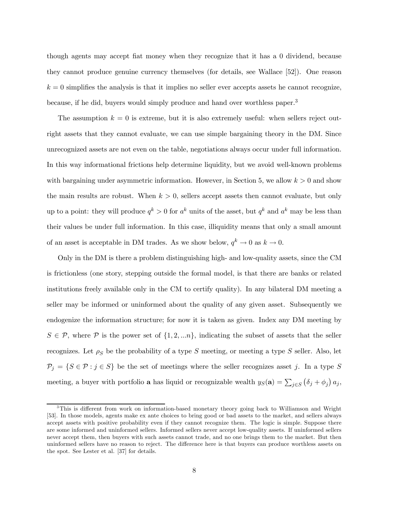though agents may accept fiat money when they recognize that it has a 0 dividend, because they cannot produce genuine currency themselves (for details, see Wallace [52]). One reason  $k = 0$  simplifies the analysis is that it implies no seller ever accepts assets he cannot recognize, because, if he did, buyers would simply produce and hand over worthless paper.<sup>3</sup>

The assumption  $k = 0$  is extreme, but it is also extremely useful: when sellers reject outright assets that they cannot evaluate, we can use simple bargaining theory in the DM. Since unrecognized assets are not even on the table, negotiations always occur under full information. In this way informational frictions help determine liquidity, but we avoid well-known problems with bargaining under asymmetric information. However, in Section 5, we allow  $k > 0$  and show the main results are robust. When  $k > 0$ , sellers accept assets then cannot evaluate, but only up to a point: they will produce  $q^k > 0$  for  $a^k$  units of the asset, but  $q^k$  and  $a^k$  may be less than their values be under full information. In this case, illiquidity means that only a small amount of an asset is acceptable in DM trades. As we show below,  $q^k \to 0$  as  $k \to 0$ .

Only in the DM is there a problem distinguishing high- and low-quality assets, since the CM is frictionless (one story, stepping outside the formal model, is that there are banks or related institutions freely available only in the CM to certify quality). In any bilateral DM meeting a seller may be informed or uninformed about the quality of any given asset. Subsequently we endogenize the information structure; for now it is taken as given. Index any DM meeting by  $S \in \mathcal{P}$ , where  $\mathcal P$  is the power set of  $\{1, 2, \ldots n\}$ , indicating the subset of assets that the seller recognizes. Let  $\rho_S$  be the probability of a type S meeting, or meeting a type S seller. Also, let  $\mathcal{P}_j = \{S \in \mathcal{P} : j \in S\}$  be the set of meetings where the seller recognizes asset j. In a type S meeting, a buyer with portfolio **a** has liquid or recognizable wealth  $y_S(\mathbf{a}) = \sum_{j \in S} (\delta_j + \phi_j) a_j$ ,

<sup>3</sup>This is different from work on information-based monetary theory going back to Williamson and Wright [53]. In those models, agents make ex ante choices to bring good or bad assets to the market, and sellers always accept assets with positive probability even if they cannot recognize them. The logic is simple. Suppose there are some informed and uninformed sellers. Informed sellers never accept low-quality assets. If uninformed sellers never accept them, then buyers with such assets cannot trade, and no one brings them to the market. But then uninformed sellers have no reason to reject. The difference here is that buyers can produce worthless assets on the spot. See Lester et al. [37] for details.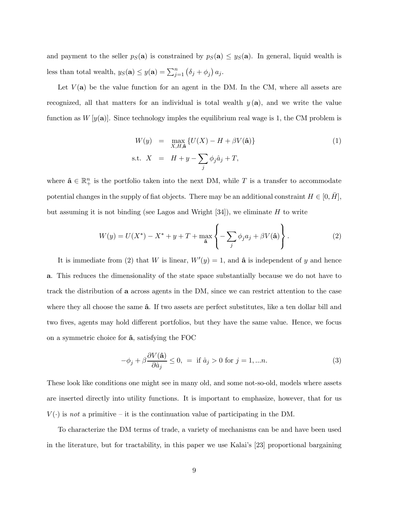and payment to the seller  $p_S(\mathbf{a})$  is constrained by  $p_S(\mathbf{a}) \leq y_S(\mathbf{a})$ . In general, liquid wealth is less than total wealth,  $y_S(\mathbf{a}) \leq y(\mathbf{a}) = \sum_{j=1}^n (\delta_j + \phi_j) a_j$ .

Let  $V(a)$  be the value function for an agent in the DM. In the CM, where all assets are recognized, all that matters for an individual is total wealth  $y(\mathbf{a})$ , and we write the value function as  $W[y(\mathbf{a})]$ . Since technology imples the equilibrium real wage is 1, the CM problem is

$$
W(y) = \max_{X,H,\hat{\mathbf{a}}} \{ U(X) - H + \beta V(\hat{\mathbf{a}}) \}
$$
  
s.t. 
$$
X = H + y - \sum_{j} \phi_j \hat{a}_j + T,
$$
 (1)

where  $\hat{\mathbf{a}} \in \mathbb{R}_{+}^{n}$  is the portfolio taken into the next DM, while T is a transfer to accommodate potential changes in the supply of fiat objects. There may be an additional constraint  $H \in [0, H]$ , but assuming it is not binding (see Lagos and Wright  $[34]$ ), we eliminate  $H$  to write

$$
W(y) = U(X^*) - X^* + y + T + \max_{\hat{\mathbf{a}}} \left\{ -\sum_j \phi_j a_j + \beta V(\hat{\mathbf{a}}) \right\}.
$$
 (2)

It is immediate from (2) that W is linear,  $W'(y) = 1$ , and  $\hat{\mathbf{a}}$  is independent of y and hence a. This reduces the dimensionality of the state space substantially because we do not have to track the distribution of a across agents in the DM, since we can restrict attention to the case where they all choose the same  $\hat{a}$ . If two assets are perfect substitutes, like a ten dollar bill and two fives, agents may hold different portfolios, but they have the same value. Hence, we focus on a symmetric choice for  $\hat{a}$ , satisfying the FOC

$$
-\phi_j + \beta \frac{\partial V(\hat{\mathbf{a}})}{\partial \hat{a}_j} \le 0, \ = \text{ if } \hat{a}_j > 0 \text{ for } j = 1, \dots n. \tag{3}
$$

These look like conditions one might see in many old, and some not-so-old, models where assets are inserted directly into utility functions. It is important to emphasize, however, that for us  $V(\cdot)$  is not a primitive – it is the continuation value of participating in the DM.

To characterize the DM terms of trade, a variety of mechanisms can be and have been used in the literature, but for tractability, in this paper we use Kalai's [23] proportional bargaining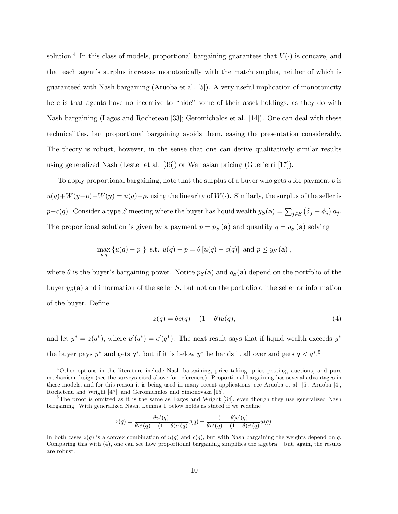solution.<sup>4</sup> In this class of models, proportional bargaining guarantees that  $V(\cdot)$  is concave, and that each agent's surplus increases monotonically with the match surplus, neither of which is guaranteed with Nash bargaining (Aruoba et al. [5]). A very useful implication of monotonicity here is that agents have no incentive to "hide" some of their asset holdings, as they do with Nash bargaining (Lagos and Rocheteau [33]; Geromichalos et al. [14]). One can deal with these technicalities, but proportional bargaining avoids them, easing the presentation considerably. The theory is robust, however, in the sense that one can derive qualitatively similar results using generalized Nash (Lester et al. [36]) or Walrasian pricing (Guerierri [17]).

To apply proportional bargaining, note that the surplus of a buyer who gets  $q$  for payment  $p$  is  $u(q)+W(y-p)-W(y)=u(q)-p$ , using the linearity of  $W(\cdot)$ . Similarly, the surplus of the seller is  $p - c(q)$ . Consider a type S meeting where the buyer has liquid wealth  $y_S(\mathbf{a}) = \sum_{j \in S} (\delta_j + \phi_j) a_j$ . The proportional solution is given by a payment  $p = p<sub>S</sub>(a)$  and quantity  $q = q<sub>S</sub>(a)$  solving

$$
\max_{p,q} \{ u(q) - p \} \text{ s.t. } u(q) - p = \theta \left[ u(q) - c(q) \right] \text{ and } p \leq y_{S} \left( \mathbf{a} \right),
$$

where  $\theta$  is the buyer's bargaining power. Notice  $p_S(\mathbf{a})$  and  $q_S(\mathbf{a})$  depend on the portfolio of the buyer  $y_S(\mathbf{a})$  and information of the seller S, but not on the portfolio of the seller or information of the buyer. Define

$$
z(q) = \theta c(q) + (1 - \theta)u(q),\tag{4}
$$

and let  $y^* = z(q^*)$ , where  $u'(q^*) = c'(q^*)$ . The next result says that if liquid wealth exceeds  $y^*$ the buyer pays  $y^*$  and gets  $q^*$ , but if it is below  $y^*$  he hands it all over and gets  $q < q^{*,5}$ 

$$
z(q) = \frac{\theta u'(q)}{\theta u'(q) + (1 - \theta)c'(q)}c(q) + \frac{(1 - \theta)c'(q)}{\theta u'(q) + (1 - \theta)c'(q)}u(q).
$$

<sup>4</sup>Other options in the literature include Nash bargaining, price taking, price posting, auctions, and pure mechanism design (see the surveys cited above for references). Proportional bargaining has several advantages in these models, and for this reason it is being used in many recent applications; see Aruoba et al. [5], Aruoba [4], Rocheteau and Wright [47], and Geromichalos and Simonovska [15].

 $5$ The proof is omitted as it is the same as Lagos and Wright [34], even though they use generalized Nash bargaining. With generalized Nash, Lemma 1 below holds as stated if we redefine

In both cases  $z(q)$  is a convex combination of  $u(q)$  and  $c(q)$ , but with Nash bargaining the weights depend on q. Comparing this with (4), one can see how proportional bargaining simplifies the algebra — but, again, the results are robust.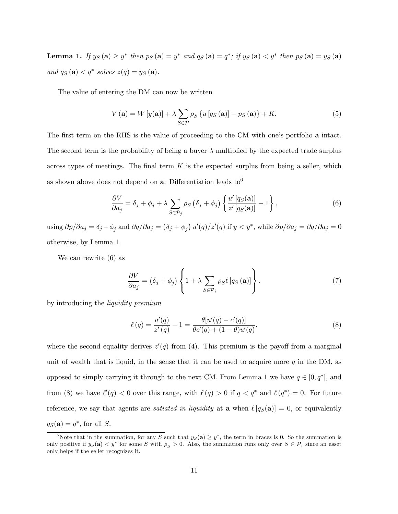**Lemma 1.** If  $y_S(a) \ge y^*$  then  $p_S(a) = y^*$  and  $q_S(a) = q^*$ ; if  $y_S(a) < y^*$  then  $p_S(a) = y_S(a)$ and  $q_S(\mathbf{a}) < q^*$  solves  $z(q) = y_S(\mathbf{a})$ .

The value of entering the DM can now be written

$$
V(\mathbf{a}) = W[y(\mathbf{a})] + \lambda \sum_{S \in \mathcal{P}} \rho_S \{ u [q_S(\mathbf{a})] - p_S(\mathbf{a}) \} + K.
$$
 (5)

The first term on the RHS is the value of proceeding to the CM with one's portfolio a intact. The second term is the probability of being a buyer  $\lambda$  multiplied by the expected trade surplus across types of meetings. The final term  $K$  is the expected surplus from being a seller, which as shown above does not depend on  $a$ . Differentiation leads to <sup>6</sup>

$$
\frac{\partial V}{\partial a_j} = \delta_j + \phi_j + \lambda \sum_{S \in \mathcal{P}_j} \rho_S \left( \delta_j + \phi_j \right) \left\{ \frac{u' \left[ q_S(\mathbf{a}) \right]}{z' \left[ q_S(\mathbf{a}) \right]} - 1 \right\},\tag{6}
$$

using  $\partial p/\partial a_j = \delta_j + \phi_j$  and  $\partial q/\partial a_j = (\delta_j + \phi_j) u'(q)/z'(q)$  if  $y < y^*$ , while  $\partial p/\partial a_j = \partial q/\partial a_j = 0$ otherwise, by Lemma 1.

We can rewrite (6) as

$$
\frac{\partial V}{\partial a_j} = (\delta_j + \phi_j) \left\{ 1 + \lambda \sum_{S \in \mathcal{P}_j} \rho_S \ell \left[ q_S \left( \mathbf{a} \right) \right] \right\},\tag{7}
$$

by introducing the liquidity premium

$$
\ell(q) = \frac{u'(q)}{z'(q)} - 1 = \frac{\theta[u'(q) - c'(q)]}{\theta c'(q) + (1 - \theta)u'(q)},
$$
\n(8)

where the second equality derives  $z'(q)$  from (4). This premium is the payoff from a marginal unit of wealth that is liquid, in the sense that it can be used to acquire more  $q$  in the DM, as opposed to simply carrying it through to the next CM. From Lemma 1 we have  $q \in [0, q^*]$ , and from (8) we have  $\ell'(q) < 0$  over this range, with  $\ell(q) > 0$  if  $q < q^*$  and  $\ell(q^*) = 0$ . For future reference, we say that agents are *satiated in liquidity* at **a** when  $\ell [q_S(\mathbf{a})] = 0$ , or equivalently  $q_S(\mathbf{a}) = q^*$ , for all S.

<sup>&</sup>lt;sup>6</sup>Note that in the summation, for any S such that  $y_S(\mathbf{a}) \geq y^*$ , the term in braces is 0. So the summation is only positive if  $y_s(\mathbf{a}) < y^*$  for some S with  $\rho_s > 0$ . Also, the summation runs only over  $S \in \mathcal{P}_j$  since an asset only helps if the seller recognizes it.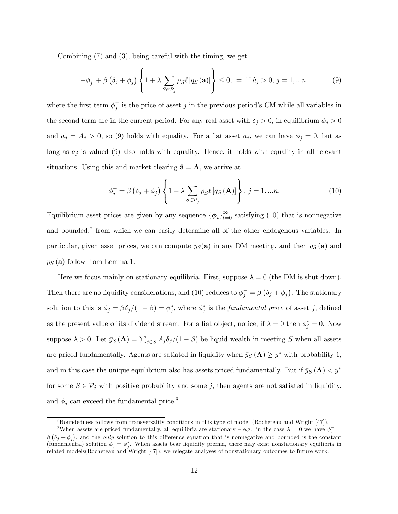Combining (7) and (3), being careful with the timing, we get

$$
-\phi_j^- + \beta \left(\delta_j + \phi_j\right) \left\{1 + \lambda \sum_{S \in \mathcal{P}_j} \rho_S \ell \left[q_S\left(\mathbf{a}\right)\right]\right\} \le 0, \ = \ \text{if } \hat{a}_j > 0, \ j = 1, \dots n. \tag{9}
$$

where the first term  $\phi_j^-$  is the price of asset *j* in the previous period's CM while all variables in the second term are in the current period. For any real asset with  $\delta_j > 0$ , in equilibrium  $\phi_j > 0$ and  $a_j = A_j > 0$ , so (9) holds with equality. For a fiat asset  $a_j$ , we can have  $\phi_j = 0$ , but as long as  $a_j$  is valued (9) also holds with equality. Hence, it holds with equality in all relevant situations. Using this and market clearing  $\hat{\mathbf{a}} = \mathbf{A}$ , we arrive at

$$
\phi_j^- = \beta \left( \delta_j + \phi_j \right) \left\{ 1 + \lambda \sum_{S \in \mathcal{P}_j} \rho_S \ell \left[ q_S \left( \mathbf{A} \right) \right] \right\}, \ j = 1, \dots n. \tag{10}
$$

Equilibrium asset prices are given by any sequence  $\{\phi_t\}_{t=0}^{\infty}$  satisfying (10) that is nonnegative and bounded,<sup>7</sup> from which we can easily determine all of the other endogenous variables. In particular, given asset prices, we can compute  $y_S(\mathbf{a})$  in any DM meeting, and then  $q_S(\mathbf{a})$  and  $p_S(\mathbf{a})$  follow from Lemma 1.

Here we focus mainly on stationary equilibria. First, suppose  $\lambda = 0$  (the DM is shut down). Then there are no liquidity considerations, and (10) reduces to  $\phi_j^- = \beta (\delta_j + \phi_j)$ . The stationary solution to this is  $\phi_j = \beta \delta_j/(1 - \beta) = \phi_j^*$ , where  $\phi_j^*$  is the *fundamental price* of asset j, defined as the present value of its dividend stream. For a fiat object, notice, if  $\lambda = 0$  then  $\phi_j^* = 0$ . Now suppose  $\lambda > 0$ . Let  $\bar{y}_S(\mathbf{A}) = \sum_{j \in S} A_j \delta_j/(1 - \beta)$  be liquid wealth in meeting S when all assets are priced fundamentally. Agents are satiated in liquidity when  $\bar{y}_S (\mathbf{A}) \geq y^*$  with probability 1, and in this case the unique equilibrium also has assets priced fundamentally. But if  $\bar{y}_S(A) < y^*$ for some  $S \in \mathcal{P}_j$  with positive probability and some j, then agents are not satiated in liquidity, and  $\phi_i$  can exceed the fundamental price.<sup>8</sup>

Boundedness follows from transversality conditions in this type of model (Rocheteau and Wright  $[47]$ ).

<sup>&</sup>lt;sup>8</sup>When assets are priced fundamentally, all equilibria are stationary – e.g., in the case  $\lambda = 0$  we have  $\phi_j^ \beta(\delta_j + \phi_j)$ , and the *only* solution to this difference equation that is nonnegative and bounded is the constant (fundamental) solution  $\phi_j = \phi_j^*$ . When assets bear liquidity premia, there may exist nonstationary equilibria in related models(Rocheteau and Wright [47]); we relegate analyses of nonstationary outcomes to future work.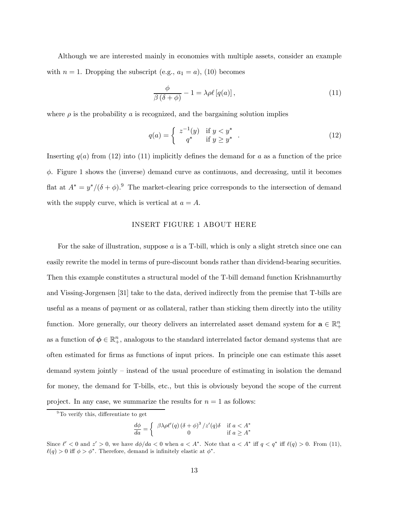Although we are interested mainly in economies with multiple assets, consider an example with  $n = 1$ . Dropping the subscript (e.g.,  $a_1 = a$ ), (10) becomes

$$
\frac{\phi}{\beta(\delta+\phi)}-1=\lambda\rho\ell\left[q(a)\right],\tag{11}
$$

where  $\rho$  is the probability a is recognized, and the bargaining solution implies

$$
q(a) = \begin{cases} z^{-1}(y) & \text{if } y < y^* \\ q^* & \text{if } y \ge y^* \end{cases} . \tag{12}
$$

Inserting  $q(a)$  from (12) into (11) implicitly defines the demand for a as a function of the price  $\phi$ . Figure 1 shows the (inverse) demand curve as continuous, and decreasing, until it becomes flat at  $A^* = y^*/(\delta + \phi)^{.9}$  The market-clearing price corresponds to the intersection of demand with the supply curve, which is vertical at  $a = A$ .

#### INSERT FIGURE 1 ABOUT HERE

For the sake of illustration, suppose  $a$  is a T-bill, which is only a slight stretch since one can easily rewrite the model in terms of pure-discount bonds rather than dividend-bearing securities. Then this example constitutes a structural model of the T-bill demand function Krishnamurthy and Vissing-Jorgensen [31] take to the data, derived indirectly from the premise that T-bills are useful as a means of payment or as collateral, rather than sticking them directly into the utility function. More generally, our theory delivers an interrelated asset demand system for  $\mathbf{a} \in \mathbb{R}^n_+$ as a function of  $\phi \in \mathbb{R}^n_+$ , analogous to the standard interrelated factor demand systems that are often estimated for firms as functions of input prices. In principle one can estimate this asset demand system jointly — instead of the usual procedure of estimating in isolation the demand for money, the demand for T-bills, etc., but this is obviously beyond the scope of the current project. In any case, we summarize the results for  $n = 1$  as follows:

$$
\frac{d\phi}{da} = \begin{cases} \beta \lambda \rho \ell'(q) \left(\delta + \phi\right)^3 / z'(q) \delta & \text{if } a < A^*\\ 0 & \text{if } a \ge A^* \end{cases}
$$

<sup>&</sup>lt;sup>9</sup>To verify this, differentiate to get

Since  $\ell' < 0$  and  $z' > 0$ , we have  $d\phi/da < 0$  when  $a < A^*$ . Note that  $a < A^*$  iff  $q < q^*$  iff  $\ell(q) > 0$ . From (11),  $\ell(q) > 0$  iff  $\phi > \phi^*$ . Therefore, demand is infinitely elastic at  $\phi^*$ .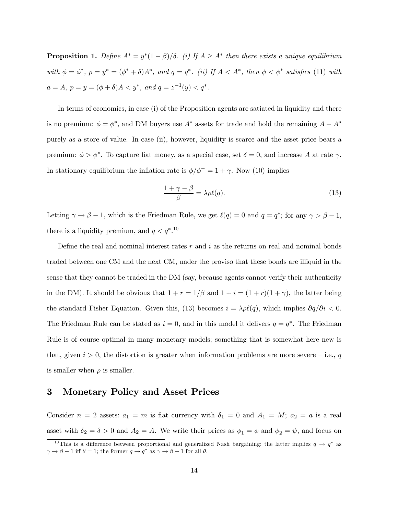**Proposition 1.** Define  $A^* = y^*(1 - \beta)/\delta$ . (i) If  $A \geq A^*$  then there exists a unique equilibrium with  $\phi = \phi^*$ ,  $p = y^* = (\phi^* + \delta)A^*$ , and  $q = q^*$ . (ii) If  $A < A^*$ , then  $\phi < \phi^*$  satisfies (11) with  $a = A, p = y = (\phi + \delta)A < y^*$ , and  $q = z^{-1}(y) < q^*$ .

In terms of economics, in case (i) of the Proposition agents are satiated in liquidity and there is no premium:  $\phi = \phi^*$ , and DM buyers use  $A^*$  assets for trade and hold the remaining  $A - A^*$ purely as a store of value. In case (ii), however, liquidity is scarce and the asset price bears a premium:  $\phi > \phi^*$ . To capture fiat money, as a special case, set  $\delta = 0$ , and increase A at rate  $\gamma$ . In stationary equilibrium the inflation rate is  $\phi/\phi^- = 1 + \gamma$ . Now (10) implies

$$
\frac{1+\gamma-\beta}{\beta} = \lambda \rho \ell(q). \tag{13}
$$

Letting  $\gamma \to \beta - 1$ , which is the Friedman Rule, we get  $\ell(q) = 0$  and  $q = q^*$ ; for any  $\gamma > \beta - 1$ , there is a liquidity premium, and  $q < q^*$ .<sup>10</sup>

Define the real and nominal interest rates  $r$  and  $i$  as the returns on real and nominal bonds traded between one CM and the next CM, under the proviso that these bonds are illiquid in the sense that they cannot be traded in the DM (say, because agents cannot verify their authenticity in the DM). It should be obvious that  $1 + r = 1/\beta$  and  $1 + i = (1 + r)(1 + \gamma)$ , the latter being the standard Fisher Equation. Given this, (13) becomes  $i = \lambda \rho \ell(q)$ , which implies  $\partial q / \partial i < 0$ . The Friedman Rule can be stated as  $i = 0$ , and in this model it delivers  $q = q^*$ . The Friedman Rule is of course optimal in many monetary models; something that is somewhat here new is that, given  $i > 0$ , the distortion is greater when information problems are more severe – i.e., q is smaller when  $\rho$  is smaller.

## 3 Monetary Policy and Asset Prices

Consider  $n = 2$  assets:  $a_1 = m$  is fiat currency with  $\delta_1 = 0$  and  $A_1 = M$ ;  $a_2 = a$  is a real asset with  $\delta_2 = \delta > 0$  and  $A_2 = A$ . We write their prices as  $\phi_1 = \phi$  and  $\phi_2 = \psi$ , and focus on

<sup>&</sup>lt;sup>10</sup>This is a difference between proportional and generalized Nash bargaining: the latter implies  $q \rightarrow q^*$  as  $\gamma \rightarrow \beta - 1$  iff  $\theta = 1$ ; the former  $q \rightarrow q^*$  as  $\gamma \rightarrow \beta - 1$  for all  $\theta$ .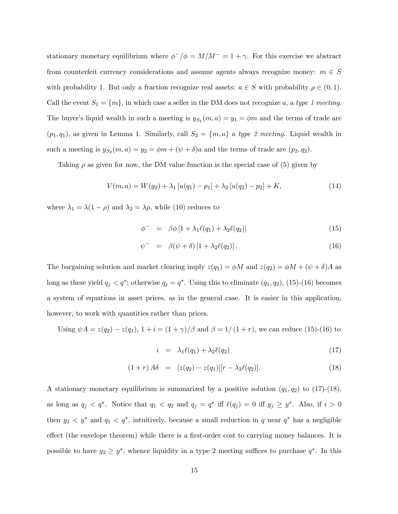stationary monetary equilibrium where  $\phi^{-}/\phi = M/M^{-} = 1 + \gamma$ . For this exercise we abstract from counterfeit currency considerations and assume agents always recognize money:  $m\,\in\, S$ with probability 1. But only a fraction recognize real assets:  $a \in S$  with probability  $\rho \in (0,1)$ . Call the event  $S_1 = \{m\}$ , in which case a seller in the DM does not recognize a, a type 1 meeting. The buyer's liquid wealth in such a meeting is  $y_{S_1}(m, a) = y_1 = \phi m$  and the terms of trade are  $(p_1, q_1)$ , as given in Lemma 1. Similarly, call  $S_2 = \{m, a\}$  a type 2 meeting. Liquid wealth in such a meeting is  $y_{S_2}(m, a) = y_2 = \phi m + (\psi + \delta)a$  and the terms of trade are  $(p_2, q_2)$ .

Taking  $\rho$  as given for now, the DM value function is the special case of (5) given by

$$
V(m, a) = W(y_2) + \lambda_1 \left[ u(q_1) - p_1 \right] + \lambda_2 \left[ u(q_2) - p_2 \right] + K,\tag{14}
$$

where  $\lambda_1 = \lambda(1 - \rho)$  and  $\lambda_2 = \lambda \rho$ , while (10) reduces to

$$
\phi^- = \beta \phi \left[ 1 + \lambda_1 \ell(q_1) + \lambda_2 \ell(q_2) \right] \tag{15}
$$

$$
\psi^- = \beta(\psi + \delta) \left[ 1 + \lambda_2 \ell(q_2) \right]. \tag{16}
$$

The bargaining solution and market clearing imply  $z(q_1) = \phi M$  and  $z(q_2) = \phi M + (\psi + \delta)A$  as long as these yield  $q_j < q^*$ ; otherwise  $q_j = q^*$ . Using this to eliminate  $(q_1, q_2)$ , (15)-(16) becomes a system of equations in asset prices, as in the general case. It is easier in this application, however, to work with quantities rather than prices.

Using  $\psi A = z(q_2) - z(q_1), 1 + i = (1 + \gamma)/\beta$  and  $\beta = 1/(1 + r)$ , we can reduce (15)-(16) to

$$
i = \lambda_1 \ell(q_1) + \lambda_2 \ell(q_2) \tag{17}
$$

$$
(1+r) A\delta = [z(q_2) - z(q_1)][r - \lambda_2 \ell(q_2)]. \tag{18}
$$

A stationary monetary equilibrium is summarized by a positive solution  $(q_1, q_2)$  to  $(17)$ - $(18)$ , as long as  $q_j < q^*$ . Notice that  $q_1 < q_2$  and  $q_j = q^*$  iff  $\ell(q_j) = 0$  iff  $y_j \geq y^*$ . Also, if  $i > 0$ then  $y_1 < y^*$  and  $q_1 < q^*$ , intuitively, because a small reduction in q near  $q^*$  has a negligible effect (the envelope theorem) while there is a first-order cost to carrying money balances. It is possible to have  $y_2 \geq y^*$ , whence liquidity in a type 2 meeting suffices to purchase  $q^*$ . In this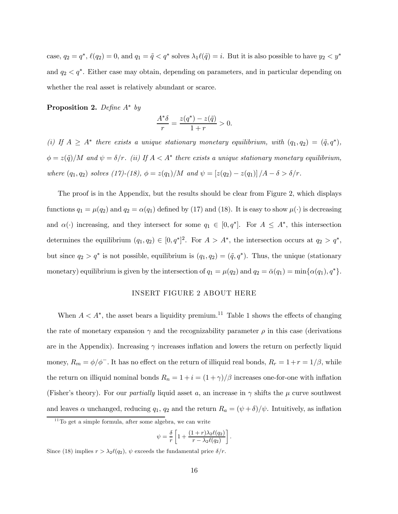case,  $q_2 = q^*, \ell(q_2) = 0$ , and  $q_1 = \tilde{q} < q^*$  solves  $\lambda_1 \ell(\tilde{q}) = i$ . But it is also possible to have  $y_2 < y^*$ and  $q_2 < q^*$ . Either case may obtain, depending on parameters, and in particular depending on whether the real asset is relatively abundant or scarce.

**Proposition 2.** Define  $A^*$  by

$$
\frac{A^*\delta}{r} = \frac{z(q^*) - z(\tilde{q})}{1+r} > 0.
$$

(i) If  $A \geq A^*$  there exists a unique stationary monetary equilibrium, with  $(q_1, q_2) = (\tilde{q}, q^*)$ ,  $\phi = z(\tilde{q})/M$  and  $\psi = \delta/r$ . (ii) If  $A < A^*$  there exists a unique stationary monetary equilibrium, where  $(q_1, q_2)$  solves  $(17)-(18)$ ,  $\phi = z(q_1)/M$  and  $\psi = [z(q_2) - z(q_1)]/A - \delta > \delta/r$ .

The proof is in the Appendix, but the results should be clear from Figure 2, which displays functions  $q_1 = \mu(q_2)$  and  $q_2 = \alpha(q_1)$  defined by (17) and (18). It is easy to show  $\mu(\cdot)$  is decreasing and  $\alpha(\cdot)$  increasing, and they intersect for some  $q_1 \in [0, q^*]$ . For  $A \leq A^*$ , this intersection determines the equilibrium  $(q_1, q_2) \in [0, q^*]^2$ . For  $A > A^*$ , the intersection occurs at  $q_2 > q^*$ , but since  $q_2 > q^*$  is not possible, equilibrium is  $(q_1, q_2) = (\tilde{q}, q^*)$ . Thus, the unique (stationary monetary) equilibrium is given by the intersection of  $q_1 = \mu(q_2)$  and  $q_2 = \bar{\alpha}(q_1) = \min{\{\alpha(q_1), q^*\}}$ .

#### INSERT FIGURE 2 ABOUT HERE

When  $A < A^*$ , the asset bears a liquidity premium.<sup>11</sup> Table 1 shows the effects of changing the rate of monetary expansion  $\gamma$  and the recognizability parameter  $\rho$  in this case (derivations are in the Appendix). Increasing  $\gamma$  increases inflation and lowers the return on perfectly liquid money,  $R_m = \phi/\phi^-$ . It has no effect on the return of illiquid real bonds,  $R_r = 1 + r = 1/\beta$ , while the return on illiquid nominal bonds  $R_n = 1 + i = (1 + \gamma)/\beta$  increases one-for-one with inflation (Fisher's theory). For our *partially* liquid asset a, an increase in  $\gamma$  shifts the  $\mu$  curve southwest and leaves  $\alpha$  unchanged, reducing  $q_1$ ,  $q_2$  and the return  $R_a = (\psi + \delta)/\psi$ . Intuitively, as inflation

$$
\psi = \frac{\delta}{r} \left[ 1 + \frac{(1+r)\lambda_2 \ell(q_2)}{r - \lambda_2 \ell(q_2)} \right].
$$

Since (18) implies  $r > \lambda_2 \ell(q_2)$ ,  $\psi$  exceeds the fundamental price  $\delta/r$ .

 $11$ <sup>11</sup> To get a simple formula, after some algebra, we can write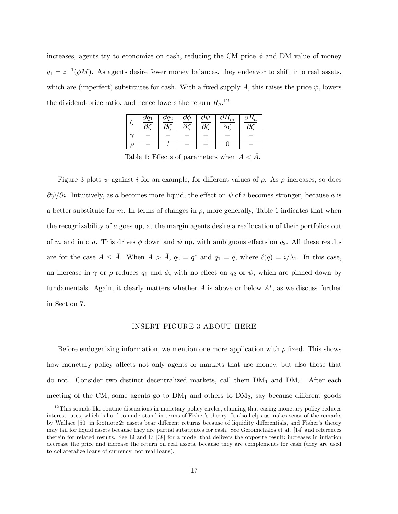increases, agents try to economize on cash, reducing the CM price  $\phi$  and DM value of money  $q_1 = z^{-1}(\phi M)$ . As agents desire fewer money balances, they endeavor to shift into real assets, which are (imperfect) substitutes for cash. With a fixed supply A, this raises the price  $\psi$ , lowers the dividend-price ratio, and hence lowers the return  $R_a$ <sup>12</sup>

| $Oq_1$ | $\partial q_2$ |  |  |
|--------|----------------|--|--|
|        |                |  |  |
|        |                |  |  |

Table 1: Effects of parameters when  $A < \bar{A}$ .

Figure 3 plots  $\psi$  against *i* for an example, for different values of  $\rho$ . As  $\rho$  increases, so does  $\partial \psi / \partial i$ . Intuitively, as a becomes more liquid, the effect on  $\psi$  of i becomes stronger, because a is a better substitute for  $m$ . In terms of changes in  $\rho$ , more generally, Table 1 indicates that when the recognizability of a goes up, at the margin agents desire a reallocation of their portfolios out of m and into a. This drives  $\phi$  down and  $\psi$  up, with ambiguous effects on  $q_2$ . All these results are for the case  $A \leq \overline{A}$ . When  $A > \overline{A}$ ,  $q_2 = q^*$  and  $q_1 = \tilde{q}$ , where  $\ell(\tilde{q}) = i/\lambda_1$ . In this case, an increase in  $\gamma$  or  $\rho$  reduces  $q_1$  and  $\phi$ , with no effect on  $q_2$  or  $\psi$ , which are pinned down by fundamentals. Again, it clearly matters whether A is above or below  $A^*$ , as we discuss further in Section 7.

#### INSERT FIGURE 3 ABOUT HERE

Before endogenizing information, we mention one more application with  $\rho$  fixed. This shows how monetary policy affects not only agents or markets that use money, but also those that do not. Consider two distinct decentralized markets, call them  $DM_1$  and  $DM_2$ . After each meeting of the CM, some agents go to  $DM_1$  and others to  $DM_2$ , say because different goods

 $12$ This sounds like routine discussions in monetary policy circles, claiming that easing monetary policy reduces interest rates, which is hard to understand in terms of Fisher's theory. It also helps us makes sense of the remarks by Wallace [50] in footnote 2: assets bear different returns because of liquidity differentials, and Fisher's theory may fail for liquid assets because they are partial substitutes for cash. See Geromichalos et al. [14] and references therein for related results. See Li and Li [38] for a model that delivers the opposite result: increases in inflation decrease the price and increase the return on real assets, because they are complements for cash (they are used to collateralize loans of currency, not real loans).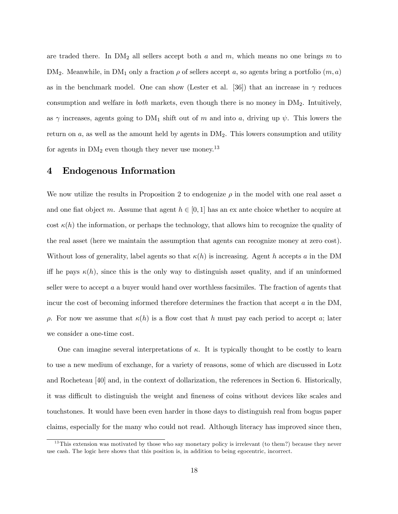are traded there. In  $DM<sub>2</sub>$  all sellers accept both  $a$  and  $m$ , which means no one brings  $m$  to DM<sub>2</sub>. Meanwhile, in DM<sub>1</sub> only a fraction  $\rho$  of sellers accept a, so agents bring a portfolio  $(m, a)$ as in the benchmark model. One can show (Lester et al. [36]) that an increase in  $\gamma$  reduces consumption and welfare in *both* markets, even though there is no money in  $DM<sub>2</sub>$ . Intuitively, as  $\gamma$  increases, agents going to DM<sub>1</sub> shift out of m and into a, driving up  $\psi$ . This lowers the return on  $a$ , as well as the amount held by agents in  $DM<sub>2</sub>$ . This lowers consumption and utility for agents in  $DM_2$  even though they never use money.<sup>13</sup>

## 4 Endogenous Information

We now utilize the results in Proposition 2 to endogenize  $\rho$  in the model with one real asset a and one fiat object m. Assume that agent  $h \in [0, 1]$  has an ex ante choice whether to acquire at cost  $\kappa(h)$  the information, or perhaps the technology, that allows him to recognize the quality of the real asset (here we maintain the assumption that agents can recognize money at zero cost). Without loss of generality, label agents so that  $\kappa(h)$  is increasing. Agent h accepts a in the DM iff he pays  $\kappa(h)$ , since this is the only way to distinguish asset quality, and if an uninformed seller were to accept  $a$  a buyer would hand over worthless facsimiles. The fraction of agents that incur the cost of becoming informed therefore determines the fraction that accept  $a$  in the DM,  $\rho$ . For now we assume that  $\kappa(h)$  is a flow cost that h must pay each period to accept a; later we consider a one-time cost.

One can imagine several interpretations of  $\kappa$ . It is typically thought to be costly to learn to use a new medium of exchange, for a variety of reasons, some of which are discussed in Lotz and Rocheteau [40] and, in the context of dollarization, the references in Section 6. Historically, it was difficult to distinguish the weight and fineness of coins without devices like scales and touchstones. It would have been even harder in those days to distinguish real from bogus paper claims, especially for the many who could not read. Although literacy has improved since then,

<sup>&</sup>lt;sup>13</sup>This extension was motivated by those who say monetary policy is irrelevant (to them?) because they never use cash. The logic here shows that this position is, in addition to being egocentric, incorrect.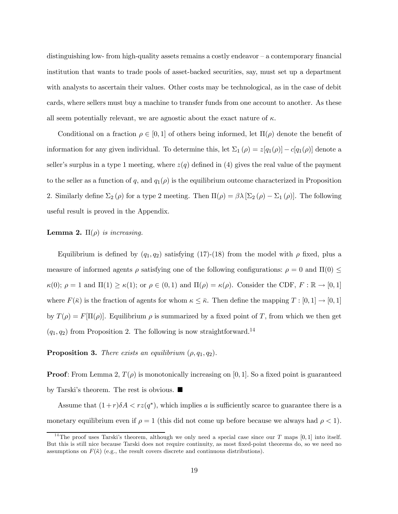distinguishing low- from high-quality assets remains a costly endeavor — a contemporary financial institution that wants to trade pools of asset-backed securities, say, must set up a department with analysts to ascertain their values. Other costs may be technological, as in the case of debit cards, where sellers must buy a machine to transfer funds from one account to another. As these all seem potentially relevant, we are agnostic about the exact nature of  $\kappa$ .

Conditional on a fraction  $\rho \in [0,1]$  of others being informed, let  $\Pi(\rho)$  denote the benefit of information for any given individual. To determine this, let  $\Sigma_1(\rho) = z[q_1(\rho)] - c[q_1(\rho)]$  denote a seller's surplus in a type 1 meeting, where  $z(q)$  defined in (4) gives the real value of the payment to the seller as a function of q, and  $q_1(\rho)$  is the equilibrium outcome characterized in Proposition 2. Similarly define  $\Sigma_2(\rho)$  for a type 2 meeting. Then  $\Pi(\rho) = \beta \lambda [\Sigma_2(\rho) - \Sigma_1(\rho)]$ . The following useful result is proved in the Appendix.

Lemma 2.  $\Pi(\rho)$  is increasing.

Equilibrium is defined by  $(q_1, q_2)$  satisfying (17)-(18) from the model with  $\rho$  fixed, plus a measure of informed agents  $\rho$  satisfying one of the following configurations:  $\rho = 0$  and  $\Pi(0) \leq$  $\kappa(0)$ ;  $\rho = 1$  and  $\Pi(1) \geq \kappa(1)$ ; or  $\rho \in (0, 1)$  and  $\Pi(\rho) = \kappa(\rho)$ . Consider the CDF,  $F : \mathbb{R} \to [0, 1]$ where  $F(\bar{\kappa})$  is the fraction of agents for whom  $\kappa \leq \bar{\kappa}$ . Then define the mapping  $T : [0, 1] \to [0, 1]$ by  $T(\rho) = F[\Pi(\rho)]$ . Equilibrium  $\rho$  is summarized by a fixed point of T, from which we then get  $(q_1, q_2)$  from Proposition 2. The following is now straightforward.<sup>14</sup>

**Proposition 3.** There exists an equilibrium  $(\rho, q_1, q_2)$ .

**Proof:** From Lemma 2,  $T(\rho)$  is monotonically increasing on [0, 1]. So a fixed point is guaranteed by Tarski's theorem. The rest is obvious.  $\blacksquare$ 

Assume that  $(1+r)\delta A < rz(q^*)$ , which implies a is sufficiently scarce to guarantee there is a monetary equilibrium even if  $\rho = 1$  (this did not come up before because we always had  $\rho < 1$ ).

<sup>&</sup>lt;sup>14</sup>The proof uses Tarski's theorem, although we only need a special case since our T maps [0, 1] into itself. But this is still nice because Tarski does not require continuity, as most fixed-point theorems do, so we need no assumptions on  $F(\tilde{\kappa})$  (e.g., the result covers discrete and continuous distributions).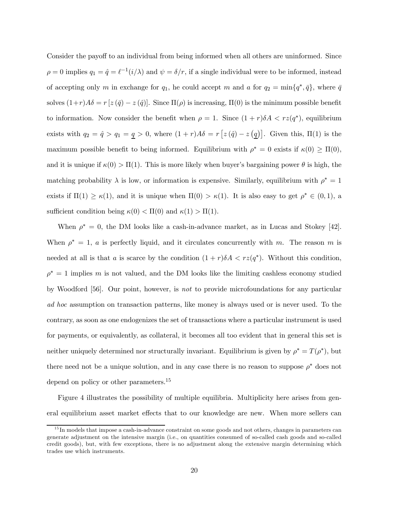Consider the payoff to an individual from being informed when all others are uninformed. Since  $\rho = 0$  implies  $q_1 = \hat{q} = \ell^{-1}(i/\lambda)$  and  $\psi = \delta/r$ , if a single individual were to be informed, instead of accepting only m in exchange for  $q_1$ , he could accept m and a for  $q_2 = \min\{q^*, \bar{q}\}\,$ , where  $\bar{q}$ solves  $(1+r)A\delta = r [ z(\bar{q}) - z(\hat{q}) ]$ . Since  $\Pi(\rho)$  is increasing,  $\Pi(0)$  is the minimum possible benefit to information. Now consider the benefit when  $\rho = 1$ . Since  $(1 + r)\delta A < rz(q^*)$ , equilibrium exists with  $q_2 = \hat{q} > q_1 = \underline{q} > 0$ , where  $(1+r)A\delta = r [z(\hat{q}) - z(\underline{q})]$ . Given this,  $\Pi(1)$  is the maximum possible benefit to being informed. Equilibrium with  $\rho^* = 0$  exists if  $\kappa(0) \geq \Pi(0)$ , and it is unique if  $\kappa(0) > \Pi(1)$ . This is more likely when buyer's bargaining power  $\theta$  is high, the matching probability  $\lambda$  is low, or information is expensive. Similarly, equilibrium with  $\rho^* = 1$ exists if  $\Pi(1) \geq \kappa(1)$ , and it is unique when  $\Pi(0) > \kappa(1)$ . It is also easy to get  $\rho^* \in (0,1)$ , a sufficient condition being  $\kappa(0) < \Pi(0)$  and  $\kappa(1) > \Pi(1)$ .

When  $\rho^* = 0$ , the DM looks like a cash-in-advance market, as in Lucas and Stokey [42]. When  $\rho^* = 1$ , *a* is perfectly liquid, and it circulates concurrently with *m*. The reason *m* is needed at all is that a is scarce by the condition  $(1 + r)\delta A < rz(q^*)$ . Without this condition,  $\rho^* = 1$  implies m is not valued, and the DM looks like the limiting cashless economy studied by Woodford [56]. Our point, however, is not to provide microfoundations for any particular ad hoc assumption on transaction patterns, like money is always used or is never used. To the contrary, as soon as one endogenizes the set of transactions where a particular instrument is used for payments, or equivalently, as collateral, it becomes all too evident that in general this set is neither uniquely determined nor structurally invariant. Equilibrium is given by  $\rho^* = T(\rho^*)$ , but there need not be a unique solution, and in any case there is no reason to suppose  $\rho^*$  does not depend on policy or other parameters.<sup>15</sup>

Figure 4 illustrates the possibility of multiple equilibria. Multiplicity here arises from general equilibrium asset market effects that to our knowledge are new. When more sellers can

 $1<sup>5</sup>$  In models that impose a cash-in-advance constraint on some goods and not others, changes in parameters can generate adjustment on the intensive margin (i.e., on quantities consumed of so-called cash goods and so-called credit goods), but, with few exceptions, there is no adjustment along the extensive margin determining which trades use which instruments.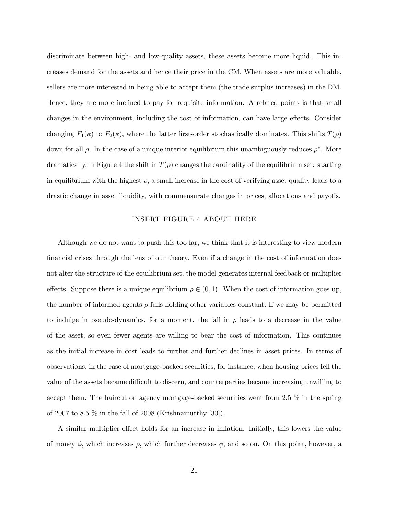discriminate between high- and low-quality assets, these assets become more liquid. This increases demand for the assets and hence their price in the CM. When assets are more valuable, sellers are more interested in being able to accept them (the trade surplus increases) in the DM. Hence, they are more inclined to pay for requisite information. A related points is that small changes in the environment, including the cost of information, can have large effects. Consider changing  $F_1(\kappa)$  to  $F_2(\kappa)$ , where the latter first-order stochastically dominates. This shifts  $T(\rho)$ down for all  $\rho$ . In the case of a unique interior equilibrium this unambiguously reduces  $\rho^*$ . More dramatically, in Figure 4 the shift in  $T(\rho)$  changes the cardinality of the equilibrium set: starting in equilibrium with the highest  $\rho$ , a small increase in the cost of verifying asset quality leads to a drastic change in asset liquidity, with commensurate changes in prices, allocations and payoffs.

#### INSERT FIGURE 4 ABOUT HERE

Although we do not want to push this too far, we think that it is interesting to view modern financial crises through the lens of our theory. Even if a change in the cost of information does not alter the structure of the equilibrium set, the model generates internal feedback or multiplier effects. Suppose there is a unique equilibrium  $\rho \in (0,1)$ . When the cost of information goes up, the number of informed agents  $\rho$  falls holding other variables constant. If we may be permitted to indulge in pseudo-dynamics, for a moment, the fall in  $\rho$  leads to a decrease in the value of the asset, so even fewer agents are willing to bear the cost of information. This continues as the initial increase in cost leads to further and further declines in asset prices. In terms of observations, in the case of mortgage-backed securities, for instance, when housing prices fell the value of the assets became difficult to discern, and counterparties became increasing unwilling to accept them. The haircut on agency mortgage-backed securities went from 2.5 % in the spring of 2007 to 8.5  $\%$  in the fall of 2008 (Krishnamurthy [30]).

A similar multiplier effect holds for an increase in inflation. Initially, this lowers the value of money  $\phi$ , which increases  $\rho$ , which further decreases  $\phi$ , and so on. On this point, however, a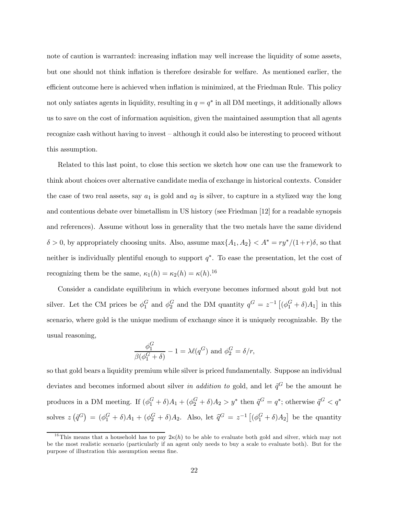note of caution is warranted: increasing inflation may well increase the liquidity of some assets, but one should not think inflation is therefore desirable for welfare. As mentioned earlier, the efficient outcome here is achieved when inflation is minimized, at the Friedman Rule. This policy not only satiates agents in liquidity, resulting in  $q = q^*$  in all DM meetings, it additionally allows us to save on the cost of information aquisition, given the maintained assumption that all agents recognize cash without having to invest — although it could also be interesting to proceed without this assumption.

Related to this last point, to close this section we sketch how one can use the framework to think about choices over alternative candidate media of exchange in historical contexts. Consider the case of two real assets, say  $a_1$  is gold and  $a_2$  is silver, to capture in a stylized way the long and contentious debate over bimetallism in US history (see Friedman [12] for a readable synopsis and references). Assume without loss in generality that the two metals have the same dividend  $\delta > 0$ , by appropriately choosing units. Also, assume  $\max\{A_1, A_2\} < A^* = ry^*/(1+r)\delta$ , so that neither is individually plentiful enough to support  $q^*$ . To ease the presentation, let the cost of recognizing them be the same,  $\kappa_1(h) = \kappa_2(h) = \kappa(h).$ <sup>16</sup>

Consider a candidate equilibrium in which everyone becomes informed about gold but not silver. Let the CM prices be  $\phi_1^G$  and  $\phi_2^G$  and the DM quantity  $q^G = z^{-1} \left[ (\phi_1^G + \delta) A_1 \right]$  in this scenario, where gold is the unique medium of exchange since it is uniquely recognizable. By the usual reasoning,

$$
\frac{\phi_1^G}{\beta(\phi_1^G + \delta)} - 1 = \lambda \ell(q^G) \text{ and } \phi_2^G = \delta/r,
$$

so that gold bears a liquidity premium while silver is priced fundamentally. Suppose an individual deviates and becomes informed about silver in addition to gold, and let  $\tilde{q}^G$  be the amount he produces in a DM meeting. If  $(\phi_1^G + \delta)A_1 + (\phi_2^G + \delta)A_2 > y^*$  then  $\tilde{q}^G = q^*$ ; otherwise  $\tilde{q}^G < q^*$ solves  $z(\tilde{q}^G) = (\phi_1^G + \delta)A_1 + (\phi_2^G + \delta)A_2$ . Also, let  $\tilde{q}^G = z^{-1}[(\phi_1^G + \delta)A_2]$  be the quantity

<sup>&</sup>lt;sup>16</sup>This means that a household has to pay  $2\kappa(h)$  to be able to evaluate both gold and silver, which may not be the most realistic scenario (particularly if an agent only needs to buy a scale to evaluate both). But for the purpose of illustration this assumption seems fine.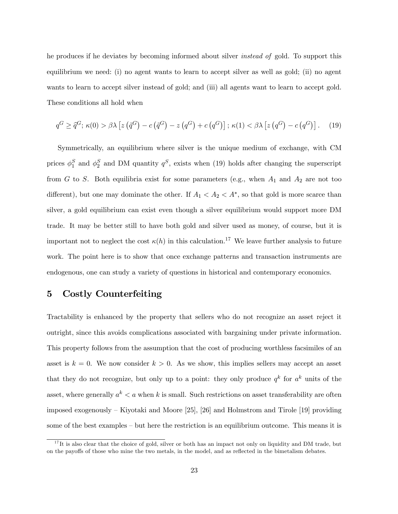he produces if he deviates by becoming informed about silver instead of gold. To support this equilibrium we need: (i) no agent wants to learn to accept silver as well as gold; (ii) no agent wants to learn to accept silver instead of gold; and (iii) all agents want to learn to accept gold. These conditions all hold when

$$
q^G \geq \hat{q}^G; \ \kappa(0) > \beta \lambda \left[ z \left( \hat{q}^G \right) - c \left( \hat{q}^G \right) - z \left( q^G \right) + c \left( q^G \right) \right]; \ \kappa(1) < \beta \lambda \left[ z \left( q^G \right) - c \left( q^G \right) \right]. \tag{19}
$$

Symmetrically, an equilibrium where silver is the unique medium of exchange, with CM prices  $\phi_1^S$  and  $\phi_2^S$  and DM quantity  $q^S$ , exists when (19) holds after changing the superscript from  $G$  to  $S$ . Both equilibria exist for some parameters (e.g., when  $A_1$  and  $A_2$  are not too different), but one may dominate the other. If  $A_1 < A_2 < A^*$ , so that gold is more scarce than silver, a gold equilibrium can exist even though a silver equilibrium would support more DM trade. It may be better still to have both gold and silver used as money, of course, but it is important not to neglect the cost  $\kappa(h)$  in this calculation.<sup>17</sup> We leave further analysis to future work. The point here is to show that once exchange patterns and transaction instruments are endogenous, one can study a variety of questions in historical and contemporary economics.

## 5 Costly Counterfeiting

Tractability is enhanced by the property that sellers who do not recognize an asset reject it outright, since this avoids complications associated with bargaining under private information. This property follows from the assumption that the cost of producing worthless facsimiles of an asset is  $k = 0$ . We now consider  $k > 0$ . As we show, this implies sellers may accept an asset that they do not recognize, but only up to a point: they only produce  $q^k$  for  $a^k$  units of the asset, where generally  $a^k < a$  when k is small. Such restrictions on asset transferability are often imposed exogenously — Kiyotaki and Moore [25], [26] and Holmstrom and Tirole [19] providing some of the best examples — but here the restriction is an equilibrium outcome. This means it is

 $17$ It is also clear that the choice of gold, silver or both has an impact not only on liquidity and DM trade, but on the payoffs of those who mine the two metals, in the model, and as reflected in the bimetalism debates.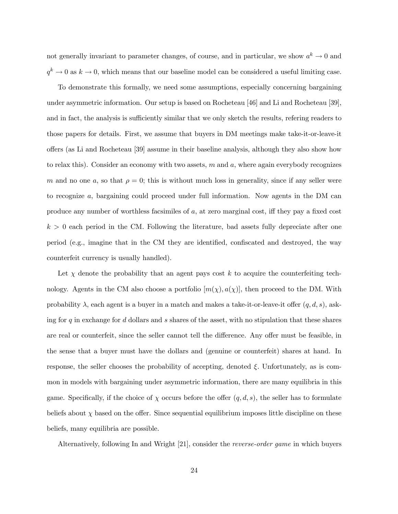not generally invariant to parameter changes, of course, and in particular, we show  $a^k \to 0$  and  $q^k \to 0$  as  $k \to 0$ , which means that our baseline model can be considered a useful limiting case.

To demonstrate this formally, we need some assumptions, especially concerning bargaining under asymmetric information. Our setup is based on Rocheteau [46] and Li and Rocheteau [39], and in fact, the analysis is sufficiently similar that we only sketch the results, refering readers to those papers for details. First, we assume that buyers in DM meetings make take-it-or-leave-it offers (as Li and Rocheteau [39] assume in their baseline analysis, although they also show how to relax this). Consider an economy with two assets,  $m$  and  $a$ , where again everybody recognizes m and no one a, so that  $\rho = 0$ ; this is without much loss in generality, since if any seller were to recognize  $a$ , bargaining could proceed under full information. Now agents in the DM can produce any number of worthless facsimiles of a, at zero marginal cost, iff they pay a fixed cost  $k > 0$  each period in the CM. Following the literature, bad assets fully depreciate after one period (e.g., imagine that in the CM they are identified, confiscated and destroyed, the way counterfeit currency is usually handled).

Let  $\chi$  denote the probability that an agent pays cost  $k$  to acquire the counterfeiting technology. Agents in the CM also choose a portfolio  $[m(\chi), a(\chi)]$ , then proceed to the DM. With probability  $\lambda$ , each agent is a buyer in a match and makes a take-it-or-leave-it offer  $(q, d, s)$ , asking for  $q$  in exchange for  $d$  dollars and  $s$  shares of the asset, with no stipulation that these shares are real or counterfeit, since the seller cannot tell the difference. Any offer must be feasible, in the sense that a buyer must have the dollars and (genuine or counterfeit) shares at hand. In response, the seller chooses the probability of accepting, denoted  $\xi$ . Unfortunately, as is common in models with bargaining under asymmetric information, there are many equilibria in this game. Specifically, if the choice of  $\chi$  occurs before the offer  $(q, d, s)$ , the seller has to formulate beliefs about  $\chi$  based on the offer. Since sequential equilibrium imposes little discipline on these beliefs, many equilibria are possible.

Alternatively, following In and Wright [21], consider the reverse-order game in which buyers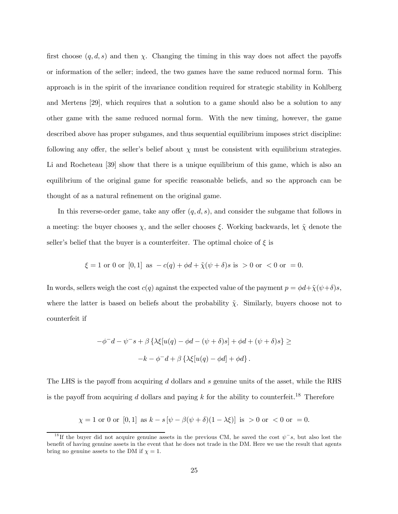first choose  $(q, d, s)$  and then  $\chi$ . Changing the timing in this way does not affect the payoffs or information of the seller; indeed, the two games have the same reduced normal form. This approach is in the spirit of the invariance condition required for strategic stability in Kohlberg and Mertens [29], which requires that a solution to a game should also be a solution to any other game with the same reduced normal form. With the new timing, however, the game described above has proper subgames, and thus sequential equilibrium imposes strict discipline: following any offer, the seller's belief about  $\chi$  must be consistent with equilibrium strategies. Li and Rocheteau [39] show that there is a unique equilibrium of this game, which is also an equilibrium of the original game for specific reasonable beliefs, and so the approach can be thought of as a natural refinement on the original game.

In this reverse-order game, take any offer  $(q, d, s)$ , and consider the subgame that follows in a meeting: the buyer chooses  $\chi$ , and the seller chooses  $\xi$ . Working backwards, let  $\tilde{\chi}$  denote the seller's belief that the buyer is a counterfeiter. The optimal choice of  $\xi$  is

$$
\xi = 1
$$
 or 0 or [0,1] as  $-c(q) + \phi d + \tilde{\chi}(\psi + \delta)s$  is  $> 0$  or  $< 0$  or  $= 0$ .

In words, sellers weigh the cost  $c(q)$  against the expected value of the payment  $p = \phi d + \tilde{\chi}(\psi + \delta)s$ , where the latter is based on beliefs about the probability  $\tilde{\chi}$ . Similarly, buyers choose not to counterfeit if

$$
-\phi^- d - \psi^- s + \beta \left\{ \lambda \xi [u(q) - \phi d - (\psi + \delta)s] + \phi d + (\psi + \delta)s \right\} \ge
$$
  

$$
-k - \phi^- d + \beta \left\{ \lambda \xi [u(q) - \phi d] + \phi d \right\}.
$$

The LHS is the payoff from acquiring  $d$  dollars and  $s$  genuine units of the asset, while the RHS is the payoff from acquiring  $d$  dollars and paying  $k$  for the ability to counterfeit.<sup>18</sup> Therefore

$$
\chi = 1
$$
 or 0 or [0,1] as  $k - s \left[ \psi - \beta(\psi + \delta)(1 - \lambda \xi) \right]$  is > 0 or  $< 0$  or  $= 0$ .

<sup>&</sup>lt;sup>18</sup>If the buyer did not acquire genuine assets in the previous CM, he saved the cost  $\psi^- s$ , but also lost the benefit of having genuine assets in the event that he does not trade in the DM. Here we use the result that agents bring no genuine assets to the DM if  $\chi = 1$ .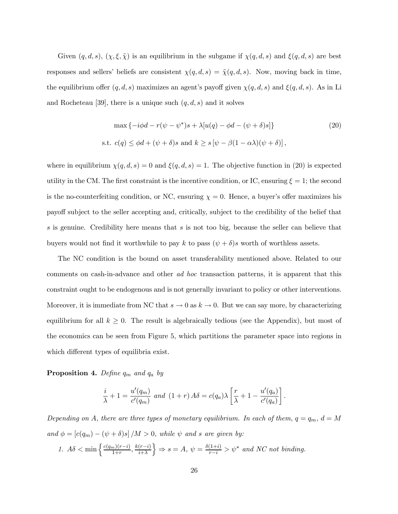Given  $(q, d, s)$ ,  $(\chi, \xi, \tilde{\chi})$  is an equilibrium in the subgame if  $\chi(q, d, s)$  and  $\xi(q, d, s)$  are best responses and sellers' beliefs are consistent  $\chi(q, d, s) = \tilde{\chi}(q, d, s)$ . Now, moving back in time, the equilibrium offer  $(q, d, s)$  maximizes an agent's payoff given  $\chi(q, d, s)$  and  $\xi(q, d, s)$ . As in Li and Rocheteau [39], there is a unique such  $(q, d, s)$  and it solves

$$
\max \{-i\phi d - r(\psi - \psi^*)s + \lambda[u(q) - \phi d - (\psi + \delta)s]\}\
$$
\n
$$
\text{s.t. } c(q) \le \phi d + (\psi + \delta)s \text{ and } k \ge s[\psi - \beta(1 - \alpha\lambda)(\psi + \delta)],
$$
\n
$$
\tag{20}
$$

where in equilibrium  $\chi(q, d, s) = 0$  and  $\xi(q, d, s) = 1$ . The objective function in (20) is expected utility in the CM. The first constraint is the incentive condition, or IC, ensuring  $\xi = 1$ ; the second is the no-counterfeiting condition, or NC, ensuring  $\chi = 0$ . Hence, a buyer's offer maximizes his payoff subject to the seller accepting and, critically, subject to the credibility of the belief that  $\tilde{s}$  is genuine. Credibility here means that  $\tilde{s}$  is not too big, because the seller can believe that buyers would not find it worthwhile to pay k to pass  $(\psi + \delta)s$  worth of worthless assets.

The NC condition is the bound on asset transferability mentioned above. Related to our comments on cash-in-advance and other ad hoc transaction patterns, it is apparent that this constraint ought to be endogenous and is not generally invariant to policy or other interventions. Moreover, it is immediate from NC that  $s \to 0$  as  $k \to 0$ . But we can say more, by characterizing equilibrium for all  $k \geq 0$ . The result is algebraically tedious (see the Appendix), but most of the economics can be seen from Figure 5, which partitions the parameter space into regions in which different types of equilibria exist.

**Proposition 4.** Define  $q_m$  and  $q_a$  by

$$
\frac{i}{\lambda} + 1 = \frac{u'(q_m)}{c'(q_m)} \text{ and } (1+r) A\delta = c(q_a)\lambda \left[ \frac{r}{\lambda} + 1 - \frac{u'(q_a)}{c'(q_a)} \right].
$$

Depending on A, there are three types of monetary equilibrium. In each of them,  $q = q_m$ ,  $d = M$ and  $\phi = [c(q_m) - (\psi + \delta)s] / M > 0$ , while  $\psi$  and s are given by:

1. 
$$
A\delta < \min\left\{\frac{c(q_m)(r-i)}{1+r}, \frac{k(r-i)}{i+\lambda}\right\} \Rightarrow s = A, \ \psi = \frac{\delta(1+i)}{r-i} > \psi^*
$$
 and NC not binding.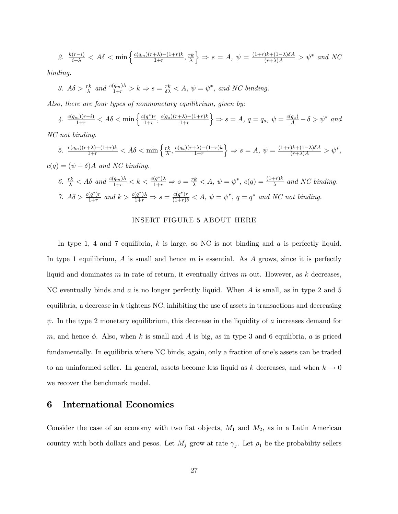2. 
$$
\frac{k(r-i)}{i+\lambda} < A\delta < \min\left\{\frac{c(q_m)(r+\lambda)-(1+r)k}{1+r}, \frac{rk}{\lambda}\right\} \Rightarrow s = A, \ \psi = \frac{(1+r)k+(1-\lambda)\delta A}{(r+\lambda)A} > \psi^*
$$
 and NC

binding.

3. 
$$
A\delta > \frac{rk}{\lambda}
$$
 and  $\frac{c(q_m)\lambda}{1+r} > k \Rightarrow s = \frac{rk}{\delta\lambda} < A$ ,  $\psi = \psi^*$ , and NC binding.

Also, there are four types of nonmonetary equilibrium, given by:

4. 
$$
\frac{c(q_m)(r-i)}{1+r} < A\delta < \min\left\{\frac{c(q^*)r}{1+r}, \frac{c(q_a)(r+\lambda)-(1+r)k}{1+r}\right\} \Rightarrow s = A, q = q_a, \psi = \frac{c(q_a)}{A} - \delta > \psi^*
$$
 and

NC not binding.

5. 
$$
\frac{c(q_m)(r+\lambda)-(1+r)k}{1+r} < A\delta < \min\left\{\frac{rk}{\lambda}, \frac{c(q_a)(r+\lambda)-(1+r)k}{1+r}\right\} \Rightarrow s = A, \ \psi = \frac{(1+r)k+(1-\lambda)\delta A}{(r+\lambda)A} > \psi^*,
$$
  
\n
$$
c(q) = (\psi + \delta)A \text{ and } NC \text{ binding}.
$$
  
\n6. 
$$
\frac{rk}{\lambda} < A\delta \text{ and } \frac{c(q_m)\lambda}{1+r} < k < \frac{c(q^*)\lambda}{1+r} \Rightarrow s = \frac{rk}{\lambda} < A, \ \psi = \psi^*, \ c(q) = \frac{(1+r)k}{\lambda} \text{ and } NC \text{ binding}.
$$
  
\n7. 
$$
A\delta > \frac{c(q^*)r}{1+r} \text{ and } k > \frac{c(q^*)\lambda}{1+r} \Rightarrow s = \frac{c(q^*)r}{(1+r)\delta} < A, \ \psi = \psi^*, \ q = q^* \text{ and } NC \text{ not binding}.
$$

#### INSERT FIGURE 5 ABOUT HERE

In type 1, 4 and 7 equilibria,  $k$  is large, so NC is not binding and  $a$  is perfectly liquid. In type 1 equilibrium,  $\tilde{A}$  is small and hence  $m$  is essential. As  $\tilde{A}$  grows, since it is perfectly liquid and dominates  $m$  in rate of return, it eventually drives  $m$  out. However, as  $k$  decreases, NC eventually binds and  $a$  is no longer perfectly liquid. When  $A$  is small, as in type 2 and 5 equilibria, a decrease in  $k$  tightens NC, inhibiting the use of assets in transactions and decreasing  $\psi$ . In the type 2 monetary equilibrium, this decrease in the liquidity of a increases demand for m, and hence  $\phi$ . Also, when k is small and A is big, as in type 3 and 6 equilibria, a is priced fundamentally. In equilibria where NC binds, again, only a fraction of one's assets can be traded to an uninformed seller. In general, assets become less liquid as  $k$  decreases, and when  $k \to 0$ we recover the benchmark model.

# 6 International Economics

Consider the case of an economy with two fiat objects,  $M_1$  and  $M_2$ , as in a Latin American country with both dollars and pesos. Let  $M_j$  grow at rate  $\gamma_j$ . Let  $\rho_1$  be the probability sellers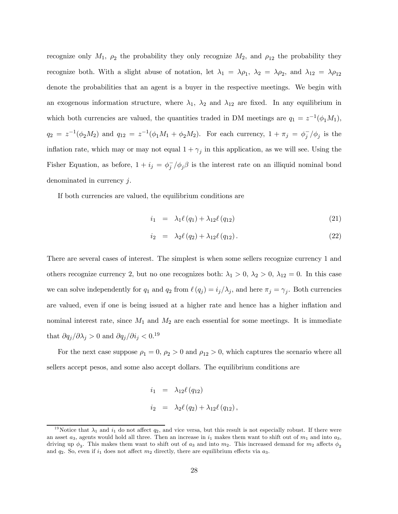recognize only  $M_1$ ,  $\rho_2$  the probability they only recognize  $M_2$ , and  $\rho_{12}$  the probability they recognize both. With a slight abuse of notation, let  $\lambda_1 = \lambda \rho_1$ ,  $\lambda_2 = \lambda \rho_2$ , and  $\lambda_{12} = \lambda \rho_{12}$ denote the probabilities that an agent is a buyer in the respective meetings. We begin with an exogenous information structure, where  $\lambda_1$ ,  $\lambda_2$  and  $\lambda_{12}$  are fixed. In any equilibrium in which both currencies are valued, the quantities traded in DM meetings are  $q_1 = z^{-1}(\phi_1 M_1)$ ,  $q_2 = z^{-1}(\phi_2 M_2)$  and  $q_{12} = z^{-1}(\phi_1 M_1 + \phi_2 M_2)$ . For each currency,  $1 + \pi_j = \phi_j^-/\phi_j$  is the inflation rate, which may or may not equal  $1 + \gamma_j$  in this application, as we will see. Using the Fisher Equation, as before,  $1 + i_j = \phi_j^-/\phi_j$  is the interest rate on an illiquid nominal bond denominated in currency  $j$ .

If both currencies are valued, the equilibrium conditions are

$$
i_1 = \lambda_1 \ell (q_1) + \lambda_{12} \ell (q_{12}) \tag{21}
$$

$$
i_2 = \lambda_2 \ell (q_2) + \lambda_{12} \ell (q_{12}). \tag{22}
$$

There are several cases of interest. The simplest is when some sellers recognize currency 1 and others recognize currency 2, but no one recognizes both:  $\lambda_1 > 0$ ,  $\lambda_2 > 0$ ,  $\lambda_{12} = 0$ . In this case we can solve independently for  $q_1$  and  $q_2$  from  $\ell(q_j) = i_j/\lambda_j$ , and here  $\pi_j = \gamma_j$ . Both currencies are valued, even if one is being issued at a higher rate and hence has a higher inflation and nominal interest rate, since  $M_1$  and  $M_2$  are each essential for some meetings. It is immediate that  $\partial q_j / \partial \lambda_j > 0$  and  $\partial q_j / \partial i_j < 0$ .<sup>19</sup>

For the next case suppose  $\rho_1 = 0$ ,  $\rho_2 > 0$  and  $\rho_{12} > 0$ , which captures the scenario where all sellers accept pesos, and some also accept dollars. The equilibrium conditions are

$$
i_1 = \lambda_{12} \ell (q_{12})
$$
  
\n
$$
i_2 = \lambda_2 \ell (q_2) + \lambda_{12} \ell (q_{12}),
$$

<sup>&</sup>lt;sup>19</sup>Notice that  $\lambda_1$  and  $i_1$  do not affect  $q_2$ , and vice versa, but this result is not especially robust. If there were an asset  $a_3$ , agents would hold all three. Then an increase in  $i_1$  makes them want to shift out of  $m_1$  and into  $a_3$ , driving up  $\phi_3$ . This makes them want to shift out of  $a_3$  and into  $m_2$ . This increased demand for  $m_2$  affects  $\phi_2$ and  $q_2$ . So, even if  $i_1$  does not affect  $m_2$  directly, there are equilibrium effects via  $a_3$ .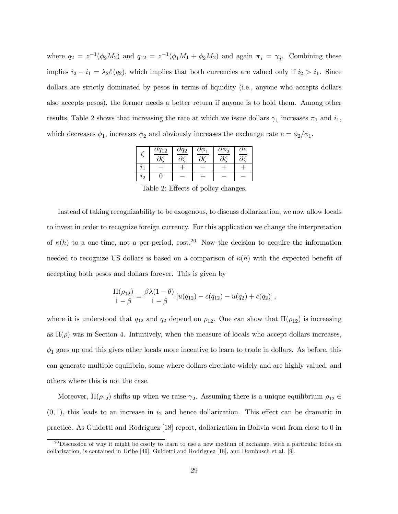where  $q_2 = z^{-1}(\phi_2 M_2)$  and  $q_{12} = z^{-1}(\phi_1 M_1 + \phi_2 M_2)$  and again  $\pi_j = \gamma_j$ . Combining these implies  $i_2 - i_1 = \lambda_2 \ell (q_2)$ , which implies that both currencies are valued only if  $i_2 > i_1$ . Since dollars are strictly dominated by pesos in terms of liquidity (i.e., anyone who accepts dollars also accepts pesos), the former needs a better return if anyone is to hold them. Among other results, Table 2 shows that increasing the rate at which we issue dollars  $\gamma_1$  increases  $\pi_1$  and  $i_1$ , which decreases  $\phi_1$ , increases  $\phi_2$  and obviously increases the exchange rate  $e = \phi_2/\phi_1$ .

|            | $\partial q_{12}$ | $\partial q_2$<br>$\cdot$ | റക- | дø, | $\partial e$ |
|------------|-------------------|---------------------------|-----|-----|--------------|
| $\imath_1$ |                   |                           |     |     |              |
| $\imath_2$ |                   |                           |     |     |              |

Table 2: Effects of policy changes.

Instead of taking recognizability to be exogenous, to discuss dollarization, we now allow locals to invest in order to recognize foreign currency. For this application we change the interpretation of  $\kappa(h)$  to a one-time, not a per-period, cost.<sup>20</sup> Now the decision to acquire the information needed to recognize US dollars is based on a comparison of  $\kappa(h)$  with the expected benefit of accepting both pesos and dollars forever. This is given by

$$
\frac{\Pi(\rho_{12})}{1-\beta} = \frac{\beta\lambda(1-\theta)}{1-\beta} \left[ u(q_{12}) - c(q_{12}) - u(q_2) + c(q_2) \right],
$$

where it is understood that  $q_{12}$  and  $q_2$  depend on  $\rho_{12}$ . One can show that  $\Pi(\rho_{12})$  is increasing as  $\Pi(\rho)$  was in Section 4. Intuitively, when the measure of locals who accept dollars increases,  $\phi_1$  goes up and this gives other locals more incentive to learn to trade in dollars. As before, this can generate multiple equilibria, some where dollars circulate widely and are highly valued, and others where this is not the case.

Moreover,  $\Pi(\rho_{12})$  shifts up when we raise  $\gamma_2$ . Assuming there is a unique equilibrium  $\rho_{12} \in$  $(0, 1)$ , this leads to an increase in  $i_2$  and hence dollarization. This effect can be dramatic in practice. As Guidotti and Rodriguez [18] report, dollarization in Bolivia went from close to 0 in

 $^{20}$ Discussion of why it might be costly to learn to use a new medium of exchange, with a particular focus on dollarization, is contained in Uribe [49], Guidotti and Rodriguez [18], and Dornbusch et al. [9].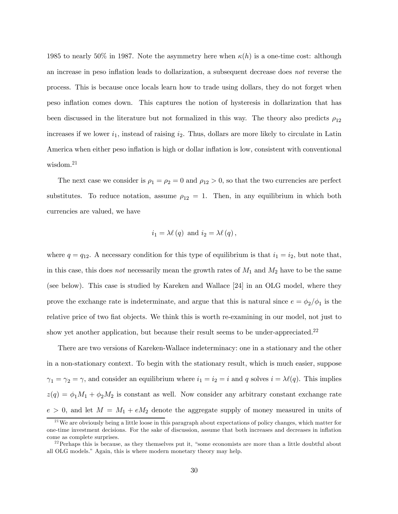1985 to nearly 50% in 1987. Note the asymmetry here when  $\kappa(h)$  is a one-time cost: although an increase in peso inflation leads to dollarization, a subsequent decrease does not reverse the process. This is because once locals learn how to trade using dollars, they do not forget when peso inflation comes down. This captures the notion of hysteresis in dollarization that has been discussed in the literature but not formalized in this way. The theory also predicts  $\rho_{12}$ increases if we lower  $i_1$ , instead of raising  $i_2$ . Thus, dollars are more likely to circulate in Latin America when either peso inflation is high or dollar inflation is low, consistent with conventional wisdom.<sup>21</sup>

The next case we consider is  $\rho_1 = \rho_2 = 0$  and  $\rho_{12} > 0$ , so that the two currencies are perfect substitutes. To reduce notation, assume  $\rho_{12} = 1$ . Then, in any equilibrium in which both currencies are valued, we have

$$
i_1 = \lambda \ell(q)
$$
 and  $i_2 = \lambda \ell(q)$ ,

where  $q = q_{12}$ . A necessary condition for this type of equilibrium is that  $i_1 = i_2$ , but note that, in this case, this does *not* necessarily mean the growth rates of  $M_1$  and  $M_2$  have to be the same (see below). This case is studied by Kareken and Wallace [24] in an OLG model, where they prove the exchange rate is indeterminate, and argue that this is natural since  $e = \phi_2/\phi_1$  is the relative price of two fiat objects. We think this is worth re-examining in our model, not just to show yet another application, but because their result seems to be under-appreciated.<sup>22</sup>

There are two versions of Kareken-Wallace indeterminacy: one in a stationary and the other in a non-stationary context. To begin with the stationary result, which is much easier, suppose  $\gamma_1 = \gamma_2 = \gamma$ , and consider an equilibrium where  $i_1 = i_2 = i$  and q solves  $i = \lambda \ell(q)$ . This implies  $z(q) = \phi_1 M_1 + \phi_2 M_2$  is constant as well. Now consider any arbitrary constant exchange rate  $e > 0$ , and let  $M = M_1 + eM_2$  denote the aggregate supply of money measured in units of

 $2<sup>1</sup>$  We are obviously being a little loose in this paragraph about expectations of policy changes, which matter for one-time investment decisions. For the sake of discussion, assume that both increases and decreases in inflation come as complete surprises.

 $2<sup>22</sup>$ Perhaps this is because, as they themselves put it, "some economists are more than a little doubtful about all OLG models." Again, this is where modern monetary theory may help.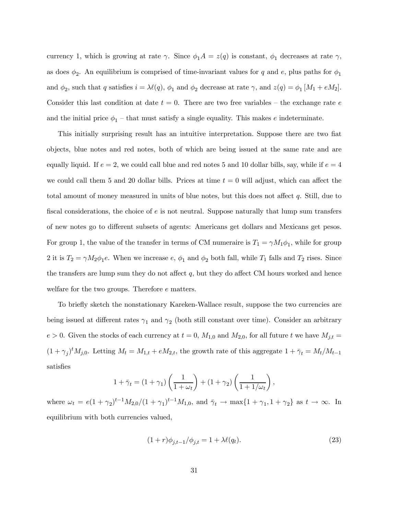currency 1, which is growing at rate  $\gamma$ . Since  $\phi_1 A = z(q)$  is constant,  $\phi_1$  decreases at rate  $\gamma$ , as does  $\phi_2$ . An equilibrium is comprised of time-invariant values for q and e, plus paths for  $\phi_1$ and  $\phi_2$ , such that q satisfies  $i = \lambda \ell(q)$ ,  $\phi_1$  and  $\phi_2$  decrease at rate  $\gamma$ , and  $z(q) = \phi_1 [M_1 + eM_2]$ . Consider this last condition at date  $t = 0$ . There are two free variables – the exchange rate e and the initial price  $\phi_1$  – that must satisfy a single equality. This makes  $e$  indeterminate.

This initially surprising result has an intuitive interpretation. Suppose there are two fiat objects, blue notes and red notes, both of which are being issued at the same rate and are equally liquid. If  $e = 2$ , we could call blue and red notes 5 and 10 dollar bills, say, while if  $e = 4$ we could call them 5 and 20 dollar bills. Prices at time  $t = 0$  will adjust, which can affect the total amount of money measured in units of blue notes, but this does not affect  $q$ . Still, due to fiscal considerations, the choice of  $e$  is not neutral. Suppose naturally that lump sum transfers of new notes go to different subsets of agents: Americans get dollars and Mexicans get pesos. For group 1, the value of the transfer in terms of CM numeraire is  $T_1 = \gamma M_1 \phi_1$ , while for group 2 it is  $T_2 = \gamma M_2 \phi_1 e$ . When we increase  $e, \phi_1$  and  $\phi_2$  both fall, while  $T_1$  falls and  $T_2$  rises. Since the transfers are lump sum they do not affect  $q$ , but they do affect CM hours worked and hence welfare for the two groups. Therefore  $e$  matters.

To briefly sketch the nonstationary Kareken-Wallace result, suppose the two currencies are being issued at different rates  $\gamma_1$  and  $\gamma_2$  (both still constant over time). Consider an arbitrary  $e > 0$ . Given the stocks of each currency at  $t = 0$ ,  $M_{1,0}$  and  $M_{2,0}$ , for all future  $t$  we have  $M_{j,t} =$  $(1 + \gamma_j)^t M_{j,0}$ . Letting  $M_t = M_{1,t} + e M_{2,t}$ , the growth rate of this aggregate  $1 + \bar{\gamma}_t = M_t / M_{t-1}$ satisfies

$$
1 + \bar{\gamma}_t = (1 + \gamma_1) \left( \frac{1}{1 + \omega_t} \right) + (1 + \gamma_2) \left( \frac{1}{1 + 1/\omega_t} \right),
$$

where  $\omega_t = e(1 + \gamma_2)^{t-1} M_{2,0} / (1 + \gamma_1)^{t-1} M_{1,0}$ , and  $\bar{\gamma}_t \to \max\{1 + \gamma_1, 1 + \gamma_2\}$  as  $t \to \infty$ . In equilibrium with both currencies valued,

$$
(1+r)\phi_{j,t-1}/\phi_{j,t} = 1 + \lambda \ell(q_t).
$$
 (23)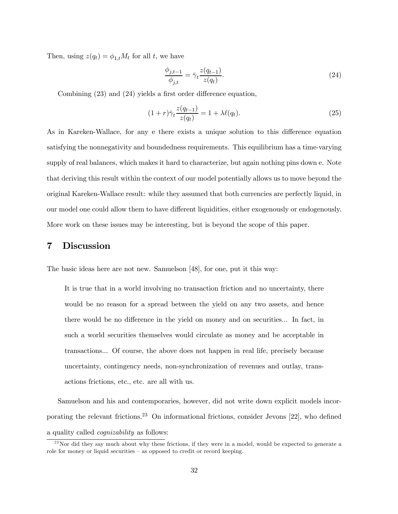Then, using  $z(q_t) = \phi_{1,t} M_t$  for all t, we have

$$
\frac{\phi_{j,t-1}}{\phi_{j,t}} = \bar{\gamma}_t \frac{z(q_{t-1})}{z(q_t)}.\tag{24}
$$

Combining (23) and (24) yields a first order difference equation,

$$
(1+r)\bar{\gamma}_t \frac{z(q_{t-1})}{z(q_t)} = 1 + \lambda \ell(q_t). \tag{25}
$$

As in Kareken-Wallace, for any e there exists a unique solution to this difference equation satisfying the nonnegativity and boundedness requirements. This equilibrium has a time-varying supply of real balances, which makes it hard to characterize, but again nothing pins down e. Note that deriving this result within the context of our model potentially allows us to move beyond the original Kareken-Wallace result: while they assumed that both currencies are perfectly liquid, in our model one could allow them to have different liquidities, either exogenously or endogenously. More work on these issues may be interesting, but is beyond the scope of this paper.

## 7 Discussion

The basic ideas here are not new. Samuelson [48], for one, put it this way:

It is true that in a world involving no transaction friction and no uncertainty, there would be no reason for a spread between the yield on any two assets, and hence there would be no difference in the yield on money and on securities... In fact, in such a world securities themselves would circulate as money and be acceptable in transactions... Of course, the above does not happen in real life, precisely because uncertainty, contingency needs, non-synchronization of revenues and outlay, transactions frictions, etc., etc. are all with us.

Samuelson and his and contemporaries, however, did not write down explicit models incorporating the relevant frictions.23 On informational frictions, consider Jevons [22], who defined a quality called cognizability as follows:

 $^{23}$  Nor did they say much about why these frictions, if they were in a model, would be expected to generate a role for money or liquid securities — as opposed to credit or record keeping.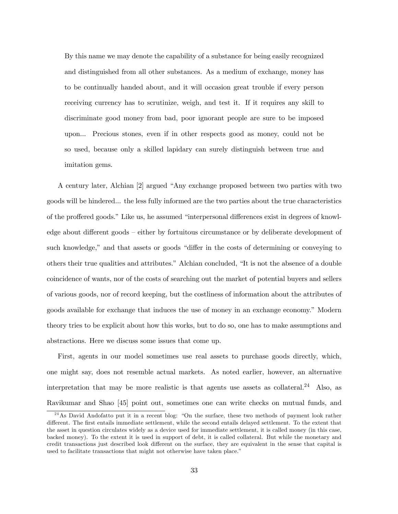By this name we may denote the capability of a substance for being easily recognized and distinguished from all other substances. As a medium of exchange, money has to be continually handed about, and it will occasion great trouble if every person receiving currency has to scrutinize, weigh, and test it. If it requires any skill to discriminate good money from bad, poor ignorant people are sure to be imposed upon... Precious stones, even if in other respects good as money, could not be so used, because only a skilled lapidary can surely distinguish between true and imitation gems.

A century later, Alchian [2] argued "Any exchange proposed between two parties with two goods will be hindered... the less fully informed are the two parties about the true characteristics of the proffered goods." Like us, he assumed "interpersonal differences exist in degrees of knowledge about different goods — either by fortuitous circumstance or by deliberate development of such knowledge," and that assets or goods "differ in the costs of determining or conveying to others their true qualities and attributes." Alchian concluded, "It is not the absence of a double coincidence of wants, nor of the costs of searching out the market of potential buyers and sellers of various goods, nor of record keeping, but the costliness of information about the attributes of goods available for exchange that induces the use of money in an exchange economy." Modern theory tries to be explicit about how this works, but to do so, one has to make assumptions and abstractions. Here we discuss some issues that come up.

First, agents in our model sometimes use real assets to purchase goods directly, which, one might say, does not resemble actual markets. As noted earlier, however, an alternative interpretation that may be more realistic is that agents use assets as collateral.<sup>24</sup> Also, as Ravikumar and Shao [45] point out, sometimes one can write checks on mutual funds, and

 $^{24}$ As David Andofatto put it in a recent blog: "On the surface, these two methods of payment look rather different. The first entails immediate settlement, while the second entails delayed settlement. To the extent that the asset in question circulates widely as a device used for immediate settlement, it is called money (in this case, backed money). To the extent it is used in support of debt, it is called collateral. But while the monetary and credit transactions just described look different on the surface, they are equivalent in the sense that capital is used to facilitate transactions that might not otherwise have taken place."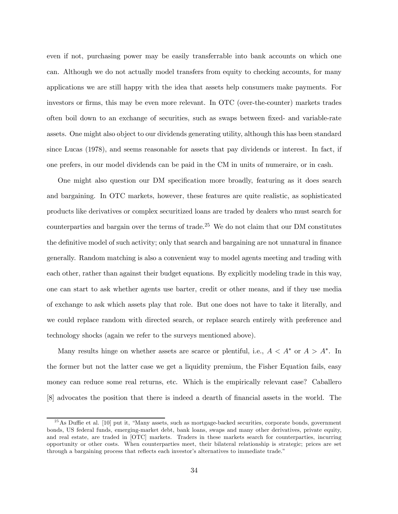even if not, purchasing power may be easily transferrable into bank accounts on which one can. Although we do not actually model transfers from equity to checking accounts, for many applications we are still happy with the idea that assets help consumers make payments. For investors or firms, this may be even more relevant. In OTC (over-the-counter) markets trades often boil down to an exchange of securities, such as swaps between fixed- and variable-rate assets. One might also object to our dividends generating utility, although this has been standard since Lucas (1978), and seems reasonable for assets that pay dividends or interest. In fact, if one prefers, in our model dividends can be paid in the CM in units of numeraire, or in cash.

One might also question our DM specification more broadly, featuring as it does search and bargaining. In OTC markets, however, these features are quite realistic, as sophisticated products like derivatives or complex securitized loans are traded by dealers who must search for counterparties and bargain over the terms of trade.<sup>25</sup> We do not claim that our DM constitutes the definitive model of such activity; only that search and bargaining are not unnatural in finance generally. Random matching is also a convenient way to model agents meeting and trading with each other, rather than against their budget equations. By explicitly modeling trade in this way, one can start to ask whether agents use barter, credit or other means, and if they use media of exchange to ask which assets play that role. But one does not have to take it literally, and we could replace random with directed search, or replace search entirely with preference and technology shocks (again we refer to the surveys mentioned above).

Many results hinge on whether assets are scarce or plentiful, i.e.,  $A < A^*$  or  $A > A^*$ . In the former but not the latter case we get a liquidity premium, the Fisher Equation fails, easy money can reduce some real returns, etc. Which is the empirically relevant case? Caballero [8] advocates the position that there is indeed a dearth of financial assets in the world. The

<sup>&</sup>lt;sup>25</sup>As Duffie et al. [10] put it, "Many assets, such as mortgage-backed securities, corporate bonds, government bonds, US federal funds, emerging-market debt, bank loans, swaps and many other derivatives, private equity, and real estate, are traded in [OTC] markets. Traders in these markets search for counterparties, incurring opportunity or other costs. When counterparties meet, their bilateral relationship is strategic; prices are set through a bargaining process that reflects each investor's alternatives to immediate trade."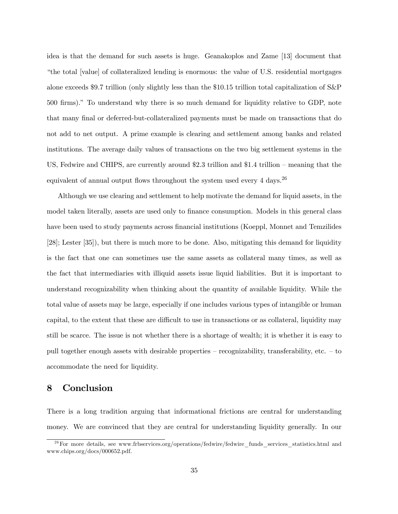idea is that the demand for such assets is huge. Geanakoplos and Zame [13] document that "the total [value] of collateralized lending is enormous: the value of U.S. residential mortgages alone exceeds \$9.7 trillion (only slightly less than the \$10.15 trillion total capitalization of S&P 500 firms)." To understand why there is so much demand for liquidity relative to GDP, note that many final or deferred-but-collateralized payments must be made on transactions that do not add to net output. A prime example is clearing and settlement among banks and related institutions. The average daily values of transactions on the two big settlement systems in the US, Fedwire and CHIPS, are currently around \$2.3 trillion and \$1.4 trillion — meaning that the equivalent of annual output flows throughout the system used every  $4 \text{ days}$ .<sup>26</sup>

Although we use clearing and settlement to help motivate the demand for liquid assets, in the model taken literally, assets are used only to finance consumption. Models in this general class have been used to study payments across financial institutions (Koeppl, Monnet and Temzilides [28]; Lester [35]), but there is much more to be done. Also, mitigating this demand for liquidity is the fact that one can sometimes use the same assets as collateral many times, as well as the fact that intermediaries with illiquid assets issue liquid liabilities. But it is important to understand recognizability when thinking about the quantity of available liquidity. While the total value of assets may be large, especially if one includes various types of intangible or human capital, to the extent that these are difficult to use in transactions or as collateral, liquidity may still be scarce. The issue is not whether there is a shortage of wealth; it is whether it is easy to pull together enough assets with desirable properties — recognizability, transferability, etc. — to accommodate the need for liquidity.

# 8 Conclusion

There is a long tradition arguing that informational frictions are central for understanding money. We are convinced that they are central for understanding liquidity generally. In our

 $26$  For more details, see www.frbservices.org/operations/fedwire/fedwire\_funds\_services\_statistics.html and www.chips.org/docs/000652.pdf.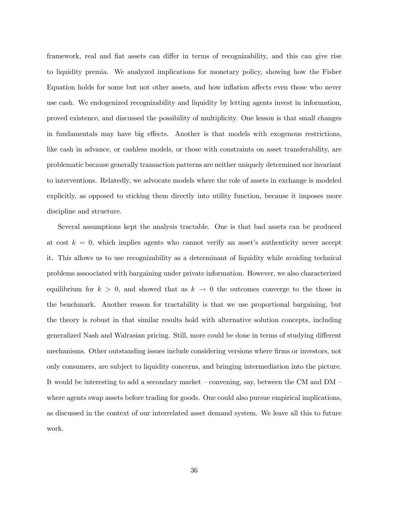framework, real and fiat assets can differ in terms of recognizability, and this can give rise to liquidity premia. We analyzed implications for monetary policy, showing how the Fisher Equation holds for some but not other assets, and how inflation affects even those who never use cash. We endogenized recognizability and liquidity by letting agents invest in information, proved existence, and discussed the possibility of multiplicity. One lesson is that small changes in fundamentals may have big effects. Another is that models with exogenous restrictions, like cash in advance, or cashless models, or those with constraints on asset transferability, are problematic because generally transaction patterns are neither uniquely determined nor invariant to interventions. Relatedly, we advocate models where the role of assets in exchange is modeled explicitly, as opposed to sticking them directly into utility function, because it imposes more discipline and structure.

Several assumptions kept the analysis tractable. One is that bad assets can be produced at cost  $k = 0$ , which implies agents who cannot verify an asset's authenticity never accept it. This allows us to use recognizability as a determinant of liquidity while avoiding technical problems assoociated with bargaining under private information. However, we also characterized equilibrium for  $k > 0$ , and showed that as  $k \to 0$  the outcomes converge to the those in the benchmark. Another reason for tractability is that we use proportional bargaining, but the theory is robust in that similar results hold with alternative solution concepts, including generalized Nash and Walrasian pricing. Still, more could be done in terms of studying different mechanisms. Other outstanding issues include considering versions where firms or investors, not only consumers, are subject to liquidity concerns, and bringing intermediation into the picture. It would be interesting to add a secondary market — convening, say, between the CM and DM where agents swap assets before trading for goods. One could also pursue empirical implications, as discussed in the context of our interrelated asset demand system. We leave all this to future work.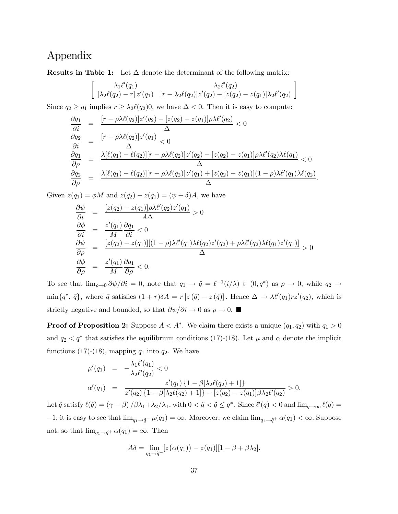# Appendix

**Results in Table 1:** Let  $\Delta$  denote the determinant of the following matrix:

$$
\begin{bmatrix}\n\lambda_1 \ell'(q_1) & \lambda_2 \ell'(q_2) \\
[\lambda_2 \ell(q_2) - r] z'(q_1) & [r - \lambda_2 \ell(q_2)] z'(q_2) - [z(q_2) - z(q_1)] \lambda_2 \ell'(q_2)\n\end{bmatrix}
$$

Since  $q_2 \ge q_1$  implies  $r \ge \lambda_2 \ell(q_2)0$ , we have  $\Delta < 0$ . Then it is easy to compute:

$$
\begin{array}{rcl}\n\frac{\partial q_1}{\partial i} &=& \frac{[r - \rho \lambda \ell(q_2)] z'(q_2) - [z(q_2) - z(q_1)] \rho \lambda \ell'(q_2)}{\Delta} < 0 \\
\frac{\partial q_2}{\partial i} &=& \frac{[r - \rho \lambda \ell(q_2)] z'(q_1)}{\Delta} < 0 \\
\frac{\partial q_1}{\partial \rho} &=& \frac{\lambda[\ell(q_1) - \ell(q_2)][r - \rho \lambda \ell(q_2)] z'(q_2) - [z(q_2) - z(q_1)] \rho \lambda \ell'(q_2) \lambda \ell(q_1)}{\Delta} < 0 \\
\frac{\partial q_2}{\partial \rho} &=& \frac{\lambda[\ell(q_1) - \ell(q_2)][r - \rho \lambda \ell(q_2)] z'(q_1) + [z(q_2) - z(q_1)](1 - \rho) \lambda \ell'(q_1) \lambda \ell(q_2)}{\Delta}.\n\end{array}
$$

Given  $z(q_1) = \phi M$  and  $z(q_2) - z(q_1) = (\psi + \delta)A$ , we have

$$
\frac{\partial \psi}{\partial i} = \frac{[z(q_2) - z(q_1)]\rho \lambda \ell'(q_2) z'(q_1)}{A\Delta} > 0
$$
  
\n
$$
\frac{\partial \phi}{\partial i} = \frac{z'(q_1)}{M} \frac{\partial q_1}{\partial i} < 0
$$
  
\n
$$
\frac{\partial \psi}{\partial \rho} = \frac{[z(q_2) - z(q_1)][(1 - \rho)\lambda \ell'(q_1)\lambda \ell(q_2) z'(q_2) + \rho \lambda \ell'(q_2)\lambda \ell(q_1) z'(q_1)]}{\Delta} > 0
$$
  
\n
$$
\frac{\partial \phi}{\partial \rho} = \frac{z'(q_1)}{M} \frac{\partial q_1}{\partial \rho} < 0.
$$

To see that  $\lim_{\rho\to 0} \frac{\partial \psi}{\partial i} = 0$ , note that  $q_1 \to \hat{q} = \ell^{-1}(i/\lambda) \in (0, q^*)$  as  $\rho \to 0$ , while  $q_2 \to$  $\min\{q^*, \bar{q}\}\$ , where  $\bar{q}$  satisfies  $(1+r)\delta A = r [z(\bar{q}) - z(\hat{q})]$ . Hence  $\Delta \to \lambda \ell'(q_1)rz'(q_2)$ , which is strictly negative and bounded, so that  $\partial \psi / \partial i \to 0$  as  $\rho \to 0$ .

**Proof of Proposition 2:** Suppose  $A < A^*$ . We claim there exists a unique  $(q_1, q_2)$  with  $q_1 > 0$ and  $q_2 < q^*$  that satisfies the equilibrium conditions (17)-(18). Let  $\mu$  and  $\alpha$  denote the implicit functions (17)-(18), mapping  $q_1$  into  $q_2$ . We have

$$
\mu'(q_1) = -\frac{\lambda_1 \ell'(q_1)}{\lambda_2 \ell'(q_2)} < 0
$$
  
\n
$$
\alpha'(q_1) = \frac{z'(q_1) \{1 - \beta[\lambda_2 \ell(q_2) + 1]\}}{z'(q_2) \{1 - \beta[\lambda_2 \ell(q_2) + 1]\} - [z(q_2) - z(q_1)] \beta \lambda_2 \ell'(q_2)} > 0.
$$

Let  $\check{q}$  satisfy  $\ell(\check{q}) = (\gamma - \beta) / \beta \lambda_1 + \lambda_2/\lambda_1$ , with  $0 < \check{q} < \check{q} \leq q^*$ . Since  $\ell'(q) < 0$  and  $\lim_{q \to \infty} \ell(q) =$  $-1$ , it is easy to see that  $\lim_{q_1\to q^+} \mu(q_1) = \infty$ . Moreover, we claim  $\lim_{q_1\to q^+} \alpha(q_1) < \infty$ . Suppose not, so that  $\lim_{q_1 \to \tilde{q}^+} \alpha(q_1) = \infty$ . Then

$$
A\delta = \lim_{q_1 \to \breve{q}^+} [z(\alpha(q_1)) - z(q_1)][1 - \beta + \beta \lambda_2].
$$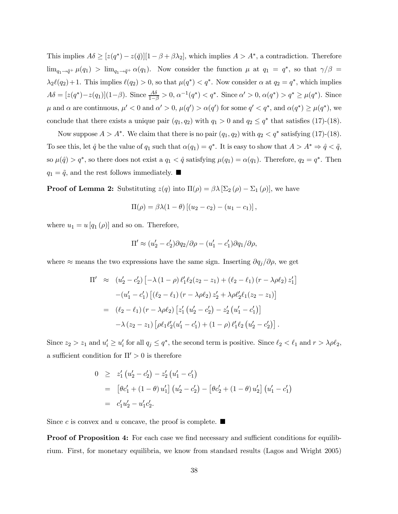This implies  $A\delta \geq [z(q^*) - z(\check{q})][1 - \beta + \beta\lambda_2]$ , which implies  $A > A^*$ , a contradiction. Therefore  $\lim_{q_1 \to q^+} \mu(q_1) > \lim_{q_1 \to q^+} \alpha(q_1)$ . Now consider the function  $\mu$  at  $q_1 = q^*$ , so that  $\gamma/\beta =$  $\lambda_2\ell(q_2)+1$ . This implies  $\ell(q_2) > 0$ , so that  $\mu(q^*) < q^*$ . Now consider  $\alpha$  at  $q_2 = q^*$ , which implies  $A\delta = [z(q^*) - z(q_1)](1-\beta)$ . Since  $\frac{A\delta}{1-\beta} > 0$ ,  $\alpha^{-1}(q^*) < q^*$ . Since  $\alpha' > 0$ ,  $\alpha(q^*) > q^* \ge \mu(q^*)$ . Since  $\mu$  and  $\alpha$  are continuous,  $\mu' < 0$  and  $\alpha' > 0$ ,  $\mu(q') > \alpha(q')$  for some  $q' < q^*$ , and  $\alpha(q^*) \ge \mu(q^*)$ , we conclude that there exists a unique pair  $(q_1, q_2)$  with  $q_1 > 0$  and  $q_2 \leq q^*$  that satisfies (17)-(18).

Now suppose  $A > A^*$ . We claim that there is no pair  $(q_1, q_2)$  with  $q_2 < q^*$  satisfying (17)-(18). To see this, let  $\hat{q}$  be the value of  $q_1$  such that  $\alpha(q_1) = q^*$ . It is easy to show that  $A > A^* \Rightarrow \hat{q} < \tilde{q}$ , so  $\mu(\hat{q}) > q^*$ , so there does not exist a  $q_1 < \hat{q}$  satisfying  $\mu(q_1) = \alpha(q_1)$ . Therefore,  $q_2 = q^*$ . Then  $q_1 = \tilde{q}$ , and the rest follows immediately.  $\blacksquare$ 

**Proof of Lemma 2:** Substituting  $z(q)$  into  $\Pi(\rho) = \beta \lambda [\Sigma_2(\rho) - \Sigma_1(\rho)],$  we have

$$
\Pi(\rho) = \beta \lambda (1 - \theta) [(u_2 - c_2) - (u_1 - c_1)],
$$

where  $u_1 = u [q_1 (\rho)]$  and so on. Therefore,

$$
\Pi' \approx (u'_2 - c'_2)\partial q_2/\partial \rho - (u'_1 - c'_1)\partial q_1/\partial \rho,
$$

where  $\approx$  means the two expressions have the same sign. Inserting  $\partial q_i/\partial \rho$ , we get

$$
\Pi' \approx (u'_2 - c'_2) \left[ -\lambda (1 - \rho) \ell'_1 \ell_2 (z_2 - z_1) + (\ell_2 - \ell_1) (r - \lambda \rho \ell_2) z'_1 \right]
$$

$$
- (u'_1 - c'_1) \left[ (\ell_2 - \ell_1) (r - \lambda \rho \ell_2) z'_2 + \lambda \rho \ell'_2 \ell_1 (z_2 - z_1) \right]
$$

$$
= (\ell_2 - \ell_1) (r - \lambda \rho \ell_2) \left[ z'_1 (u'_2 - c'_2) - z'_2 (u'_1 - c'_1) \right]
$$

$$
- \lambda (z_2 - z_1) \left[ \rho \ell_1 \ell'_2 (u'_1 - c'_1) + (1 - \rho) \ell'_1 \ell_2 (u'_2 - c'_2) \right].
$$

Since  $z_2 > z_1$  and  $u'_i \ge u'_i$  for all  $q_j \le q^*$ , the second term is positive. Since  $\ell_2 < \ell_1$  and  $r > \lambda \rho \ell_2$ , a sufficient condition for  $\Pi' > 0$  is therefore

$$
0 \geq z'_1 (u'_2 - c'_2) - z'_2 (u'_1 - c'_1)
$$
  
= 
$$
[\theta c'_1 + (1 - \theta) u'_1] (u'_2 - c'_2) - [\theta c'_2 + (1 - \theta) u'_2] (u'_1 - c'_1)
$$
  
= 
$$
c'_1 u'_2 - u'_1 c'_2.
$$

Since c is convex and u concave, the proof is complete.  $\blacksquare$ 

Proof of Proposition 4: For each case we find necessary and sufficient conditions for equilibrium. First, for monetary equilibria, we know from standard results (Lagos and Wright 2005)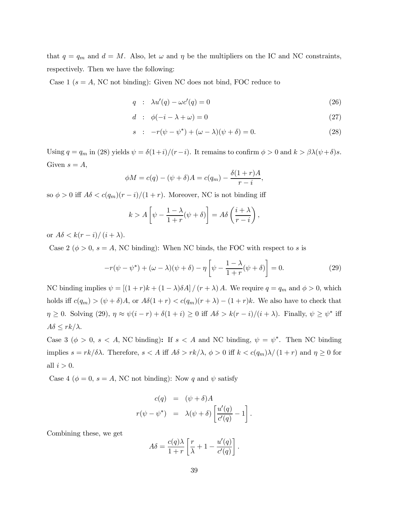that  $q = q_m$  and  $d = M$ . Also, let  $\omega$  and  $\eta$  be the multipliers on the IC and NC constraints, respectively. Then we have the following:

Case 1 ( $s = A$ , NC not binding): Given NC does not bind, FOC reduce to

$$
q : \lambda u'(q) - \omega c'(q) = 0 \tag{26}
$$

$$
d : \phi(-i - \lambda + \omega) = 0 \tag{27}
$$

$$
s : -r(\psi - \psi^*) + (\omega - \lambda)(\psi + \delta) = 0.
$$
 (28)

Using  $q = q_m$  in (28) yields  $\psi = \frac{\delta(1+i)}{(r-i)}$ . It remains to confirm  $\phi > 0$  and  $k > \beta \lambda (\psi + \delta)s$ . Given  $s = A$ ,

$$
\phi M = c(q) - (\psi + \delta)A = c(q_m) - \frac{\delta(1+r)A}{r-i},
$$

so  $\phi > 0$  iff  $A\delta < c(q_m)(r - i)/(1 + r)$ . Moreover, NC is not binding iff

$$
k > A\left[\psi - \frac{1-\lambda}{1+r}(\psi + \delta)\right] = A\delta\left(\frac{i+\lambda}{r-i}\right),\,
$$

or  $A\delta < k(r - i)/(i + \lambda)$ .

Case 2 ( $\phi > 0$ ,  $s = A$ , NC binding): When NC binds, the FOC with respect to s is

$$
-r(\psi - \psi^*) + (\omega - \lambda)(\psi + \delta) - \eta \left[\psi - \frac{1 - \lambda}{1 + r}(\psi + \delta)\right] = 0.
$$
 (29)

NC binding implies  $\psi = \left[ (1+r)k + (1-\lambda)\delta A \right] / (r+\lambda) A$ . We require  $q = q_m$  and  $\phi > 0$ , which holds iff  $c(q_m) > (\psi + \delta)A$ , or  $A\delta(1 + r) < c(q_m)(r + \lambda) - (1 + r)k$ . We also have to check that  $\eta \geq 0$ . Solving (29),  $\eta \approx \psi(i-r) + \delta(1+i) \geq 0$  iff  $A\delta > k(r-i)/(i+\lambda)$ . Finally,  $\psi \geq \psi^*$  iff  $A\delta \leq rk/\lambda$ .

Case 3 ( $\phi > 0$ ,  $s < A$ , NC binding): If  $s < A$  and NC binding,  $\psi = \psi^*$ . Then NC binding implies  $s = rk/\delta\lambda$ . Therefore,  $s < A$  iff  $A\delta > rk/\lambda$ ,  $\phi > 0$  iff  $k < c(q_m)\lambda/(1 + r)$  and  $\eta \ge 0$  for all  $i > 0$ .

Case 4 ( $\phi = 0$ ,  $s = A$ , NC not binding): Now q and  $\psi$  satisfy

$$
c(q) = (\psi + \delta)A
$$
  

$$
r(\psi - \psi^*) = \lambda(\psi + \delta) \left[ \frac{u'(q)}{c'(q)} - 1 \right].
$$

Combining these, we get

$$
A\delta = \frac{c(q)\lambda}{1+r} \left[ \frac{r}{\lambda} + 1 - \frac{u'(q)}{c'(q)} \right].
$$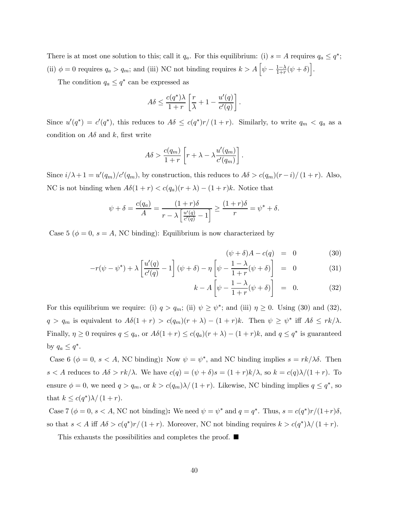There is at most one solution to this; call it  $q_a$ . For this equilibrium: (i)  $s = A$  requires  $q_a \leq q^*$ ; (ii)  $\phi = 0$  requires  $q_a > q_m$ ; and (iii) NC not binding requires  $k > A \left[ \psi - \frac{1-\lambda}{1+r} (\psi + \delta) \right]$ .

The condition  $q_a \leq q^*$  can be expressed as

$$
A\delta \leq \frac{c(q^*)\lambda}{1+r}\left[\frac{r}{\lambda}+1-\frac{u'(q)}{c'(q)}\right]
$$

 $\ddot{\phantom{0}}$ 

 $\ddot{\phantom{0}}$ 

Since  $u'(q^*) = c'(q^*)$ , this reduces to  $A\delta \leq c(q^*)r/(1+r)$ . Similarly, to write  $q_m < q_a$  as a condition on  $A\delta$  and k, first write

$$
A\delta > \frac{c(q_m)}{1+r} \left[ r + \lambda - \lambda \frac{u'(q_m)}{c'(q_m)} \right]
$$

Since  $i/\lambda + 1 = u'(q_m)/c'(q_m)$ , by construction, this reduces to  $A\delta > c(q_m)(r - i)/(1 + r)$ . Also, NC is not binding when  $A\delta(1 + r) < c(q_a)(r + \lambda) - (1 + r)k$ . Notice that

$$
\psi + \delta = \frac{c(q_a)}{A} = \frac{(1+r)\delta}{r - \lambda \left[\frac{u'(q)}{c'(q)} - 1\right]} \ge \frac{(1+r)\delta}{r} = \psi^* + \delta.
$$

Case 5 ( $\phi = 0$ ,  $s = A$ , NC binding): Equilibrium is now characterized by

$$
(\psi + \delta)A - c(q) = 0 \tag{30}
$$

$$
-r(\psi - \psi^*) + \lambda \left[ \frac{u'(q)}{c'(q)} - 1 \right] (\psi + \delta) - \eta \left[ \psi - \frac{1 - \lambda}{1 + r} (\psi + \delta) \right] = 0 \tag{31}
$$

$$
k - A \left[ \psi - \frac{1 - \lambda}{1 + r} (\psi + \delta) \right] = 0. \tag{32}
$$

For this equilibrium we require: (i)  $q > q_m$ ; (ii)  $\psi \geq \psi^*$ ; and (iii)  $\eta \geq 0$ . Using (30) and (32),  $q > q_m$  is equivalent to  $A\delta(1 + r) > c(q_m)(r + \lambda) - (1 + r)k$ . Then  $\psi \geq \psi^*$  iff  $A\delta \leq rk/\lambda$ . Finally,  $\eta \ge 0$  requires  $q \le q_a$ , or  $A\delta(1 + r) \le c(q_a)(r + \lambda) - (1 + r)k$ , and  $q \le q^*$  is guaranteed by  $q_a \leq q^*$ .

Case 6 ( $\phi = 0$ ,  $s < A$ , NC binding): Now  $\psi = \psi^*$ , and NC binding implies  $s = rk/\lambda\delta$ . Then  $s < A$  reduces to  $A\delta > rk/\lambda$ . We have  $c(q)=(\psi + \delta)s = (1 + r)k/\lambda$ , so  $k = c(q)\lambda/(1 + r)$ . To ensure  $\phi = 0$ , we need  $q > q_m$ , or  $k > c(q_m)\lambda/(1 + r)$ . Likewise, NC binding implies  $q \leq q^*$ , so that  $k \leq c(q^*)\lambda/(1+r)$ .

Case 7 ( $\phi = 0$ ,  $s < A$ , NC not binding): We need  $\psi = \psi^*$  and  $q = q^*$ . Thus,  $s = c(q^*)r/(1+r)\delta$ , so that  $s < A$  iff  $A\delta > c(q^*)r/(1 + r)$ . Moreover, NC not binding requires  $k > c(q^*)\lambda/(1 + r)$ .

This exhausts the possibilities and completes the proof.  $\blacksquare$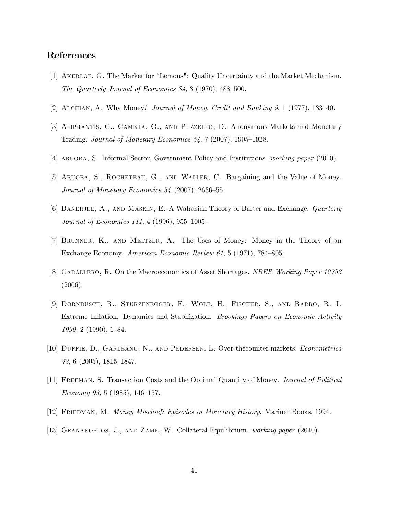# References

- [1] Akerlof, G. The Market for "Lemons": Quality Uncertainty and the Market Mechanism. The Quarterly Journal of Economics  $84, 3$  (1970), 488-500.
- [2] Alchian, A. Why Money? Journal of Money, Credit and Banking 9, 1 (1977), 133—40.
- [3] Aliprantis, C., Camera, G., and Puzzello, D. Anonymous Markets and Monetary Trading. Journal of Monetary Economics 54, 7 (2007), 1905—1928.
- [4] aruoba, S. Informal Sector, Government Policy and Institutions. working paper (2010).
- [5] Aruoba, S., Rocheteau, G., and Waller, C. Bargaining and the Value of Money. Journal of Monetary Economics 54 (2007), 2636—55.
- [6] BANERJEE, A., AND MASKIN, E. A Walrasian Theory of Barter and Exchange. *Quarterly* Journal of Economics 111, 4 (1996), 955—1005.
- [7] Brunner, K., and Meltzer, A. The Uses of Money: Money in the Theory of an Exchange Economy. American Economic Review 61, 5 (1971), 784—805.
- [8] Caballero, R. On the Macroeconomics of Asset Shortages. NBER Working Paper 12753 (2006).
- [9] Dornbusch, R., Sturzenegger, F., Wolf, H., Fischer, S., and Barro, R. J. Extreme Inflation: Dynamics and Stabilization. Brookings Papers on Economic Activity 1990, 2 (1990), 1—84.
- [10] Duffie, D., Garleanu, N., and Pedersen, L. Over-thecounter markets. Econometrica 73, 6 (2005), 1815—1847.
- [11] Freeman, S. Transaction Costs and the Optimal Quantity of Money. Journal of Political Economy 93, 5 (1985), 146—157.
- [12] Friedman, M. Money Mischief: Episodes in Monetary History. Mariner Books, 1994.
- [13] Geanakoplos, J., and Zame, W. Collateral Equilibrium. working paper (2010).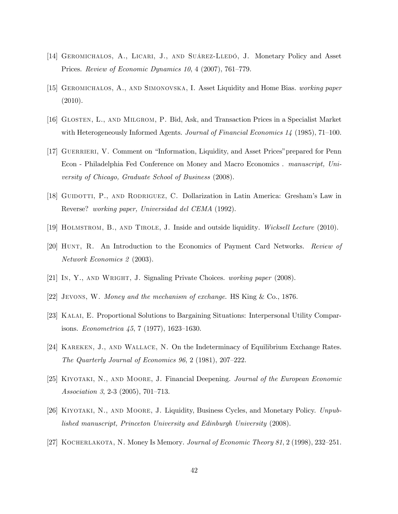- [14] Geromichalos, A., Licari, J., and Suárez-Lledó, J. Monetary Policy and Asset Prices. Review of Economic Dynamics 10, 4 (2007), 761—779.
- [15] Geromichalos, A., and Simonovska, I. Asset Liquidity and Home Bias. working paper (2010).
- [16] Glosten, L., and Milgrom, P. Bid, Ask, and Transaction Prices in a Specialist Market with Heterogeneously Informed Agents. Journal of Financial Economics 14 (1985), 71–100.
- [17] GUERRIERI, V. Comment on "Information, Liquidity, and Asset Prices" prepared for Penn Econ - Philadelphia Fed Conference on Money and Macro Economics . manuscript, University of Chicago, Graduate School of Business (2008).
- [18] GUIDOTTI, P., AND RODRIGUEZ, C. Dollarization in Latin America: Gresham's Law in Reverse? working paper, Universidad del CEMA (1992).
- [19] Holmstrom, B., and Tirole, J. Inside and outside liquidity. Wicksell Lecture (2010).
- [20] Hunt, R. An Introduction to the Economics of Payment Card Networks. Review of Network Economics 2 (2003).
- [21] In, Y., and Wright, J. Signaling Private Choices. working paper (2008).
- [22] Jevons, W. Money and the mechanism of exchange. HS King & Co., 1876.
- [23] Kalai, E. Proportional Solutions to Bargaining Situations: Interpersonal Utility Comparisons. Econometrica 45, 7 (1977), 1623—1630.
- [24] Kareken, J., and Wallace, N. On the Indeterminacy of Equilibrium Exchange Rates. The Quarterly Journal of Economics 96, 2 (1981), 207—222.
- [25] Kiyotaki, N., and Moore, J. Financial Deepening. Journal of the European Economic Association 3, 2-3 (2005), 701—713.
- [26] Kiyotaki, N., and Moore, J. Liquidity, Business Cycles, and Monetary Policy. Unpublished manuscript, Princeton University and Edinburgh University (2008).
- [27] KOCHERLAKOTA, N. Money Is Memory. Journal of Economic Theory 81, 2 (1998), 232–251.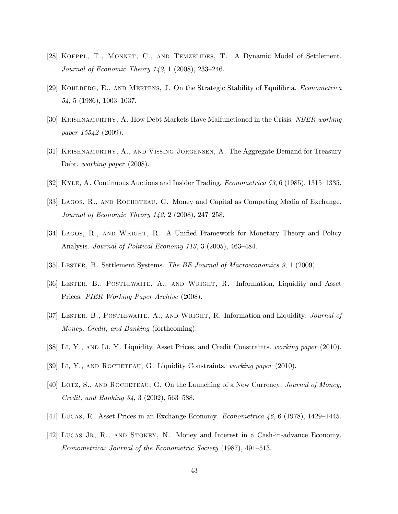- [28] Koeppl, T., Monnet, C., and Temzelides, T. A Dynamic Model of Settlement. Journal of Economic Theory 142, 1 (2008), 233—246.
- [29] Kohlberg, E., and Mertens, J. On the Strategic Stability of Equilibria. Econometrica  $54, 5$  (1986), 1003-1037.
- [30] KRISHNAMURTHY, A. How Debt Markets Have Malfunctioned in the Crisis. NBER working paper 15542 (2009).
- [31] Krishnamurthy, A., and Vissing-Jorgensen, A. The Aggregate Demand for Treasury Debt. working paper (2008).
- [32] Kyle, A. Continuous Auctions and Insider Trading. Econometrica 53, 6 (1985), 1315—1335.
- [33] Lagos, R., and Rocheteau, G. Money and Capital as Competing Media of Exchange. Journal of Economic Theory 142, 2 (2008), 247—258.
- [34] Lagos, R., and Wright, R. A Unified Framework for Monetary Theory and Policy Analysis. Journal of Political Economy 113, 3 (2005), 463—484.
- [35] Lester, B. Settlement Systems. The BE Journal of Macroeconomics 9, 1 (2009).
- [36] Lester, B., Postlewaite, A., and Wright, R. Information, Liquidity and Asset Prices. PIER Working Paper Archive (2008).
- [37] LESTER, B., POSTLEWAITE, A., AND WRIGHT, R. Information and Liquidity. *Journal of* Money, Credit, and Banking (forthcoming).
- [38] Li, Y., and Li, Y. Liquidity, Asset Prices, and Credit Constraints. working paper (2010).
- [39] LI, Y., AND ROCHETEAU, G. Liquidity Constraints. working paper (2010).
- [40] LOTZ, S., AND ROCHETEAU, G. On the Launching of a New Currency. Journal of Money, Credit, and Banking 34, 3 (2002), 563—588.
- [41] Lucas, R. Asset Prices in an Exchange Economy. Econometrica 46, 6 (1978), 1429—1445.
- [42] LUCAS JR, R., AND STOKEY, N. Money and Interest in a Cash-in-advance Economy. Econometrica: Journal of the Econometric Society (1987), 491—513.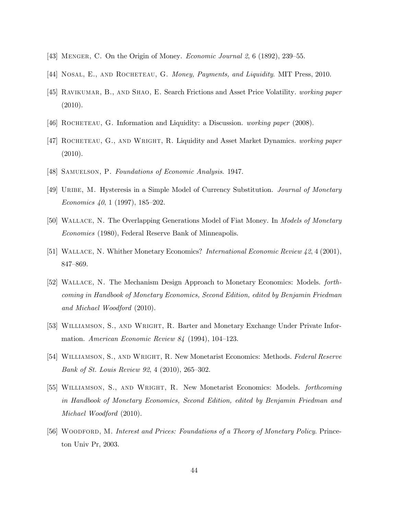- [43] Menger, C. On the Origin of Money. Economic Journal 2, 6 (1892), 239—55.
- [44] NOSAL, E., AND ROCHETEAU, G. Money, Payments, and Liquidity. MIT Press, 2010.
- [45] RAVIKUMAR, B., AND SHAO, E. Search Frictions and Asset Price Volatility. working paper (2010).
- [46] ROCHETEAU, G. Information and Liquidity: a Discussion. *working paper* (2008).
- [47] ROCHETEAU, G., AND WRIGHT, R. Liquidity and Asset Market Dynamics. working paper (2010).
- [48] SAMUELSON, P. Foundations of Economic Analysis. 1947.
- [49] URIBE, M. Hysteresis in a Simple Model of Currency Substitution. *Journal of Monetary* Economics 40, 1 (1997), 185—202.
- [50] WALLACE, N. The Overlapping Generations Model of Fiat Money. In *Models of Monetary* Economies (1980), Federal Reserve Bank of Minneapolis.
- [51] Wallace, N. Whither Monetary Economics? International Economic Review 42, 4 (2001), 847—869.
- [52] Wallace, N. The Mechanism Design Approach to Monetary Economics: Models. forthcoming in Handbook of Monetary Economics, Second Edition, edited by Benjamin Friedman and Michael Woodford (2010).
- [53] Williamson, S., and Wright, R. Barter and Monetary Exchange Under Private Information. American Economic Review 84 (1994), 104—123.
- [54] WILLIAMSON, S., AND WRIGHT, R. New Monetarist Economics: Methods. Federal Reserve Bank of St. Louis Review 92, 4 (2010), 265—302.
- [55] Williamson, S., and Wright, R. New Monetarist Economics: Models. forthcoming in Handbook of Monetary Economics, Second Edition, edited by Benjamin Friedman and Michael Woodford (2010).
- [56] WOODFORD, M. Interest and Prices: Foundations of a Theory of Monetary Policy. Princeton Univ Pr, 2003.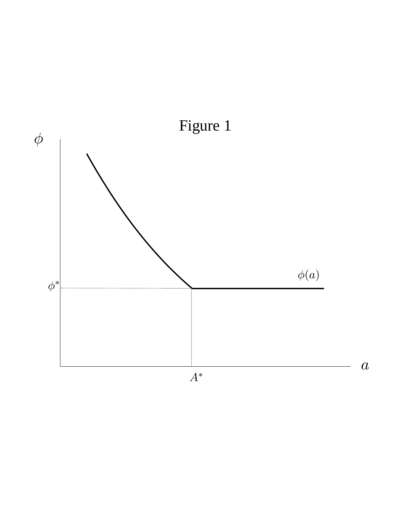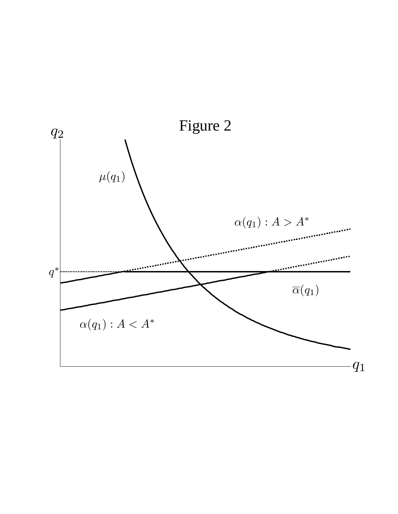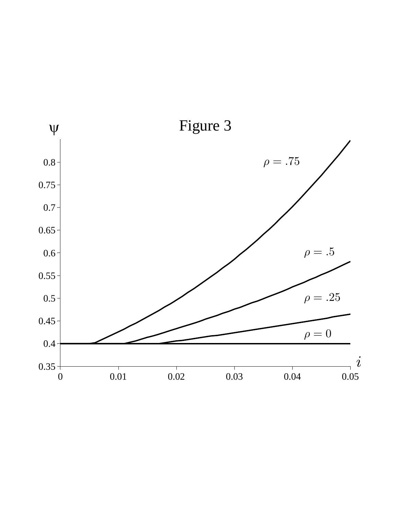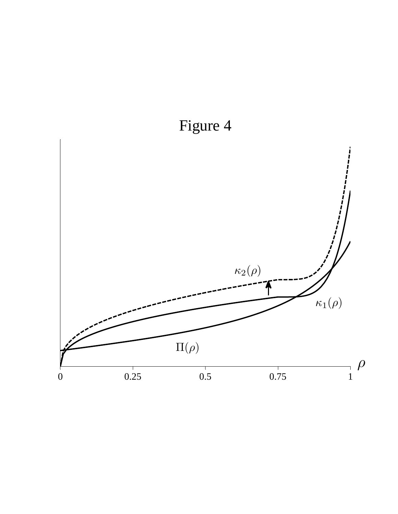